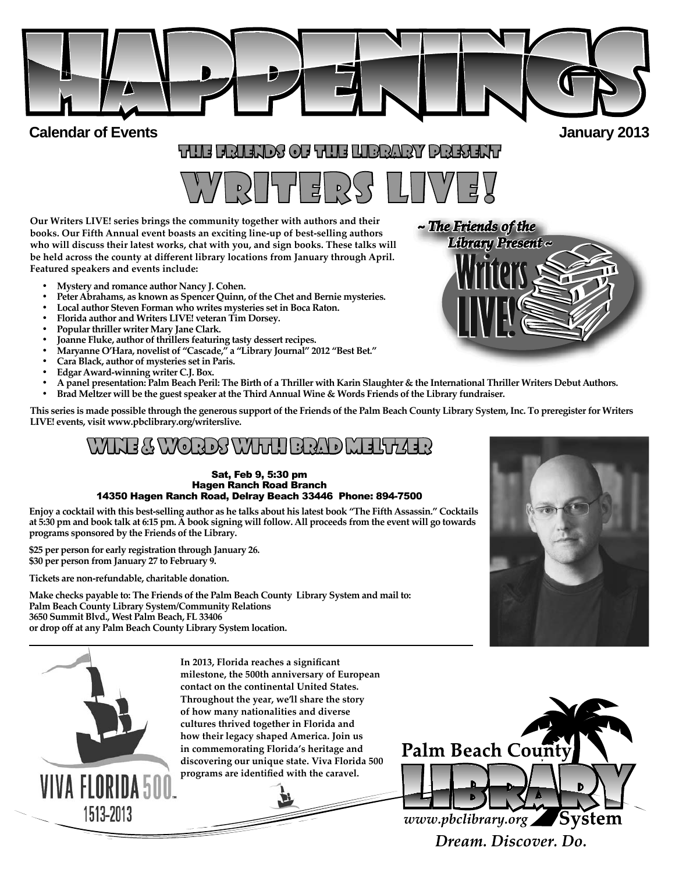

**Calendar of Events and** *alendar* **<b>algorithments algorithments algorithments algorithments algorithments algorithments algorithments algorithments algorithments algorithments algorithments algorithm** 

# THE FRIENDS OF THE LIBRARY PRESENT HE

# WRITERS LIVE!

**Our Writers LIVE! series brings the community together with authors and their books. Our Fifth Annual event boasts an exciting line-up of best-selling authors who will discuss their latest works, chat with you, and sign books. These talks will**  be held across the county at different library locations from January through April. **Featured speakers and events include:**

- **Mystery and romance author Nancy J. Cohen.**
- **Peter Abrahams, as known as Spencer Quinn, of the Chet and Bernie mysteries.**
- **Local author Steven Forman who writes mysteries set in Boca Raton.**
- **Florida author and Writers LIVE! veteran Tim Dorsey.**
- **Popular thriller writer Mary Jane Clark.**
- **Joanne Fluke, author of thrillers featuring tasty dessert recipes.**
- **Maryanne O'Hara, novelist of "Cascade," a "Library Journal" 2012 "Best Bet."**
- **Cara Black, author of mysteries set in Paris.**
- **Edgar Award-winning writer C.J. Box.**
- **A panel presentation: Palm Beach Peril: The Birth of a Thriller with Karin Slaughter & the International Thriller Writers Debut Authors.**
- **Brad Meltz er will be the guest speaker at the Third Annual Wine & Words Friends of the Library fundraiser.**

**This series is made possible through the generous support of the Friends of the Palm Beach County Library System, Inc. To preregister for Writers LIVE! events, visit www.pbclibrary.org/writerslive.**

# WIE & WORDS WITH BRAD MELTZ

### Sat, Feb 9, 5:30 pm Hagen Ranch Road Branch 14350 Hagen Ranch Road, Delray Beach 33446 Phone: 894-7500

**Enjoy a cocktail with this best-selling author as he talks about his latest book "The Fifth Assassin." Cocktails at 5:30 pm and book talk at 6:15 pm. A book signing will follow. All proceeds from the event will go towards programs sponsored by the Friends of the Library.** 

**\$25 per person for early registration through January 26. \$30 per person from January 27 to February 9.**

**Tickets are non-refundable, charitable donation.**

**Make checks payable to: The Friends of the Palm Beach County Library System and mail to: Palm Beach County Library System/Community Relations 3650 Summit Blvd., West Palm Beach, FL 33406 or drop off at any Palm Beach County Library System location.**



In 2013, Florida reaches a significant **milestone, the 500th anniversary of European contact on the continental United States. Throughout the year, we'll share the story of how many nationalities and diverse cultures thrived together in Florida and how their legacy shaped America. Join us in commemorating Florida's heritage and discovering our unique state. Viva Florida 500**  programs are identified with the caravel.



*~ The Friends of the ~ The Friends of Library ~ Library Present ~*

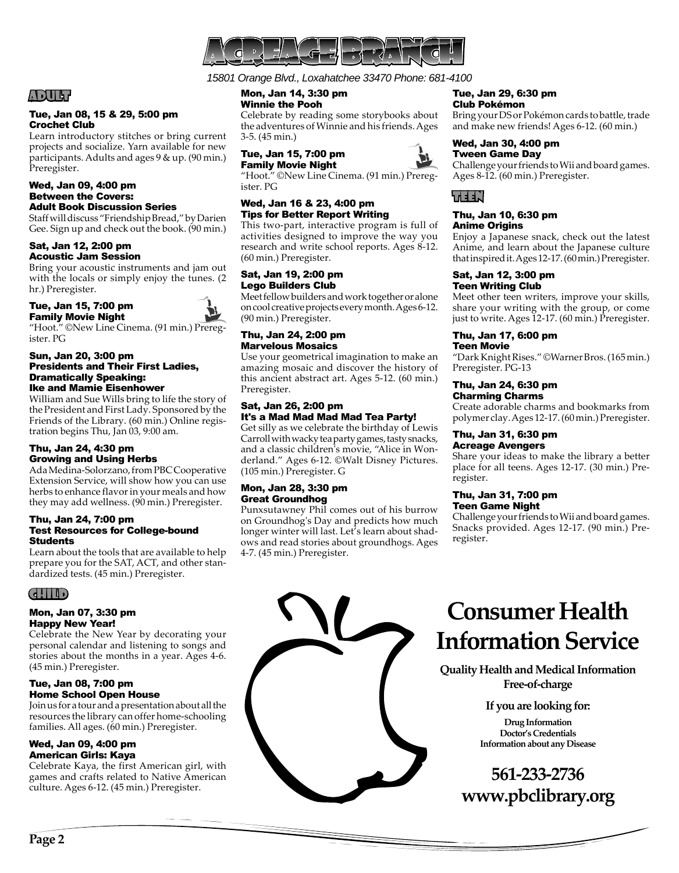

*15801 Orange Blvd., Loxahatchee 33470 Phone: 681-4100*

# ADULT

### Tue, Jan 08, 15 & 29, 5:00 pm Crochet Club

Learn introductory stitches or bring current projects and socialize. Yarn available for new participants. Adults and ages 9 & up. (90 min.) Preregister.

### Wed, Jan 09, 4:00 pm Between the Covers: Adult Book Discussion Series

Staff will discuss "Friendship Bread," by Darien Gee. Sign up and check out the book. (90 min.)

### Sat, Jan 12, 2:00 pm Acoustic Jam Session

Bring your acoustic instruments and jam out with the locals or simply enjoy the tunes. (2 hr.) Preregister.

### Tue, Jan 15, 7:00 pm Family Movie Night



"Hoot." ©New Line Cinema. (91 min.) Preregister. PG

### Sun, Jan 20, 3:00 pm Presidents and Their First Ladies, Dramatically Speaking: Ike and Mamie Eisenhower

William and Sue Wills bring to life the story of the President and First Lady. Sponsored by the Friends of the Library. (60 min.) Online registration begins Thu, Jan 03, 9:00 am.

### Thu, Jan 24, 4:30 pm Growing and Using Herbs

Ada Medina-Solorzano, from PBC Cooperative Extension Service, will show how you can use herbs to enhance flavor in your meals and how they may add wellness. (90 min.) Preregister.

### Thu, Jan 24, 7:00 pm Test Resources for College-bound **Students**

Learn about the tools that are available to help prepare you for the SAT, ACT, and other standardized tests. (45 min.) Preregister.

# CHILD

### Mon, Jan 07, 3:30 pm Happy New Year!

Celebrate the New Year by decorating your personal calendar and listening to songs and stories about the months in a year. Ages 4-6. (45 min.) Preregister.

### Tue, Jan 08, 7:00 pm Home School Open House

Join us for a tour and a presentation about all the resources the library can offer home-schooling families. All ages. (60 min.) Preregister.

### Wed, Jan 09, 4:00 pm American Girls: Kaya

Celebrate Kaya, the first American girl, with games and crafts related to Native American culture. Ages 6-12. (45 min.) Preregister.

Mon, Jan 14, 3:30 pm Winnie the Pooh

Celebrate by reading some storybooks about the adventures of Winnie and his friends. Ages 3-5. (45 min.)

### Tue, Jan 15, 7:00 pm Family Movie Night

"Hoot." ©New Line Cinema. (91 min.) Preregister. PG

### Wed, Jan 16 & 23, 4:00 pm Tips for Better Report Writing

This two-part, interactive program is full of activities designed to improve the way you research and write school reports. Ages 8-12. (60 min.) Preregister.

### Sat, Jan 19, 2:00 pm Lego Builders Club

Meet fellow builders and work together or alone on cool creative projects every month. Ages 6-12. (90 min.) Preregister.

### Thu, Jan 24, 2:00 pm Marvelous Mosaics

Use your geometrical imagination to make an amazing mosaic and discover the history of this ancient abstract art. Ages 5-12. (60 min.) Preregister.

### Sat, Jan 26, 2:00 pm It's a Mad Mad Mad Mad Tea Party!

Get silly as we celebrate the birthday of Lewis Carroll with wacky tea party games, tasty snacks, and a classic children's movie, "Alice in Wonderland." Ages 6-12. ©Walt Disney Pictures. (105 min.) Preregister. G

### Mon, Jan 28, 3:30 pm Great Groundhog

Punxsutawney Phil comes out of his burrow on Groundhog's Day and predicts how much longer winter will last. Let's learn about shadows and read stories about groundhogs. Ages 4-7. (45 min.) Preregister.

### Tue, Jan 29, 6:30 pm Club Pokémon

Bring your DS or Pokémon cards to battle, trade and make new friends! Ages 6-12. (60 min.)

### Wed, Jan 30, 4:00 pm Tween Game Day

Challenge your friends to Wii and board games. Ages 8-12. (60 min.) Preregister.



### Thu, Jan 10, 6:30 pm Anime Origins

Enjoy a Japanese snack, check out the latest Anime, and learn about the Japanese culture that inspired it. Ages 12-17. (60 min.) Preregister.

### Sat, Jan 12, 3:00 pm Teen Writing Club

Meet other teen writers, improve your skills, share your writing with the group, or come just to write. Ages 12-17. (60 min.) Preregister.

### Thu, Jan 17, 6:00 pm Teen Movie

"Dark Knight Rises." ©Warner Bros. (165 min.) Preregister. PG-13

### Thu, Jan 24, 6:30 pm Charming Charms

Create adorable charms and bookmarks from polymer clay. Ages 12-17. (60 min.) Preregister.

### Thu, Jan 31, 6:30 pm Acreage Avengers

Share your ideas to make the library a better place for all teens. Ages 12-17. (30 min.) Preregister.

### Thu, Jan 31, 7:00 pm Teen Game Night

Challenge your friends to Wii and board games. Snacks provided. Ages 12-17. (90 min.) Preregister.



# **Consumer Health Information Service**

**Quality Health and Medical Information Free-of-charge**

# **If you are looking for:**

**Drug Information Doctor's Credentials Information about any Disease**

# **561-233-2736 www.pbclibrary.org**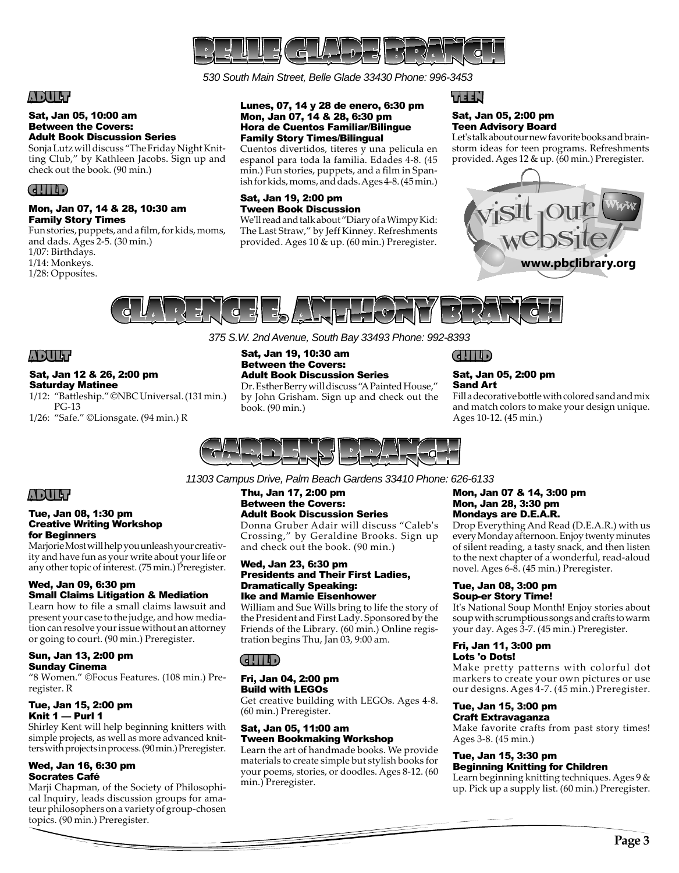

*530 South Main Street, Belle Glade 33430 Phone: 996-3453* 

# ADULT

### Sat, Jan 05, 10:00 am Between the Covers: Adult Book Discussion Series

Sonja Lutz will discuss "The Friday Night Knitting Club," by Kathleen Jacobs. Sign up and check out the book. (90 min.)

### CHILD

### Mon, Jan 07, 14 & 28, 10:30 am Family Story Times

Fun stories, puppets, and a film, for kids, moms, and dads. Ages 2-5. (30 min.)

1/07: Birthdays.

1/14: Monkeys.

1/28: Opposites.

### Lunes, 07, 14 y 28 de enero, 6:30 pm Mon, Jan 07, 14 & 28, 6:30 pm Hora de Cuentos Familiar/Bilingue Family Story Times/Bilingual

Cuentos divertidos, titeres y una pelicula en espanol para toda la familia. Edades 4-8. (45 min.) Fun stories, puppets, and a film in Spanish for kids, moms, and dads. Ages 4-8. (45 min.)

### Sat, Jan 19, 2:00 pm Tween Book Discussion

We'll read and talk about "Diary of a Wimpy Kid: The Last Straw," by Jeff Kinney. Refreshments provided. Ages 10 & up. (60 min.) Preregister. KEEN P

### Sat, Jan 05, 2:00 pm Teen Advisory Board

Let's talk about our new favorite books and brainstorm ideas for teen programs. Refreshments provided. Ages 12 & up. (60 min.) Preregister.





*375 S.W. 2nd Avenue, South Bay 33493 Phone: 992-8393*

# ADULT

### Sat, Jan 12 & 26, 2:00 pm Saturday Matinee

1/12: "Battleship." ©NBC Universal. (131 min.) PG-13

1/26: "Safe." ©Lionsgate. (94 min.) R

Sat, Jan 19, 10:30 am Between the Covers: Adult Book Discussion Series

Dr. Esther Berry will discuss "A Painted House," by John Grisham. Sign up and check out the book. (90 min.)

# CHILD

### Sat, Jan 05, 2:00 pm Sand Art

Fill a decorative bottle with colored sand and mix and match colors to make your design unique. Ages 10-12. (45 min.)



*11303 Campus Drive, Palm Beach Gardens 33410 Phone: 626-6133*

### Thu, Jan 17, 2:00 pm Between the Covers: Adult Book Discussion Series

Donna Gruber Adair will discuss "Caleb's Crossing," by Geraldine Brooks. Sign up and check out the book. (90 min.)

### Wed, Jan 23, 6:30 pm Presidents and Their First Ladies, Dramatically Speaking: Ike and Mamie Eisenhower

William and Sue Wills bring to life the story of the President and First Lady. Sponsored by the Friends of the Library. (60 min.) Online registration begins Thu, Jan 03, 9:00 am.

# CHILD

### Fri, Jan 04, 2:00 pm Build with LEGOs

Get creative building with LEGOs. Ages 4-8. (60 min.) Preregister.

### Sat, Jan 05, 11:00 am Tween Bookmaking Workshop

Learn the art of handmade books. We provide materials to create simple but stylish books for your poems, stories, or doodles. Ages 8-12. (60 min.) Preregister.

### Mon, Jan 07 & 14, 3:00 pm Mon, Jan 28, 3:30 pm Mondays are D.E.A.R.

Drop Everything And Read (D.E.A.R.) with us every Monday afternoon. Enjoy twenty minutes of silent reading, a tasty snack, and then listen to the next chapter of a wonderful, read-aloud novel. Ages 6-8. (45 min.) Preregister.

### Tue, Jan 08, 3:00 pm Soup-er Story Time!

It's National Soup Month! Enjoy stories about soup with scrumptious songs and crafts to warm your day. Ages 3-7. (45 min.) Preregister.

### Fri, Jan 11, 3:00 pm Lots 'o Dots!

Make pretty patterns with colorful dot markers to create your own pictures or use our designs. Ages 4-7. (45 min.) Preregister.

### Tue, Jan 15, 3:00 pm Craft Extravaganza

Make favorite crafts from past story times! Ages 3-8. (45 min.)

### Tue, Jan 15, 3:30 pm Beginning Knitting for Children

Learn beginning knitting techniques. Ages 9 & up. Pick up a supply list. (60 min.) Preregister.

# ADULT

### Tue, Jan 08, 1:30 pm Creative Writing Workshop for Beginners

Marjorie Most will help you unleash your creativity and have fun as your write about your life or any other topic of interest. (75 min.) Preregister.

### Wed, Jan 09, 6:30 pm Small Claims Litigation & Mediation

Learn how to file a small claims lawsuit and present your case to the judge, and how mediation can resolve your issue without an attorney or going to court. (90 min.) Preregister.

### Sun, Jan 13, 2:00 pm Sunday Cinema

"8 Women." ©Focus Features. (108 min.) Preregister. R

### Tue, Jan 15, 2:00 pm Knit 1 — Purl 1

Shirley Kent will help beginning knitters with simple projects, as well as more advanced knitters with projects in process. (90 min.) Preregister.

### Wed, Jan 16, 6:30 pm Socrates Café

Marji Chapman, of the Society of Philosophical Inquiry, leads discussion groups for amateur philosophers on a variety of group-chosen topics. (90 min.) Preregister.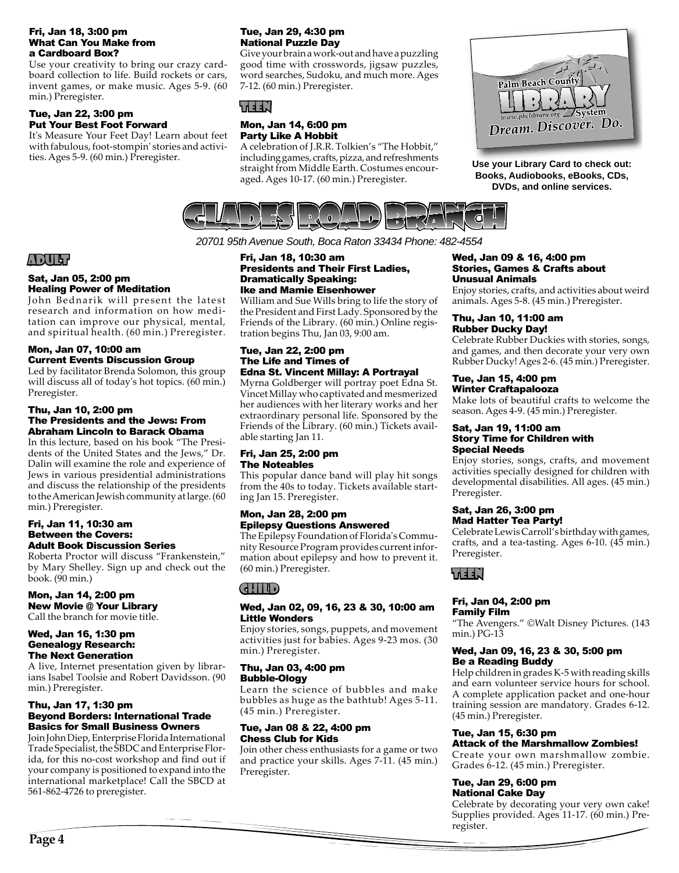### Fri, Jan 18, 3:00 pm What Can You Make from a Cardboard Box?

Use your creativity to bring our crazy cardboard collection to life. Build rockets or cars, invent games, or make music. Ages 5-9. (60 min.) Preregister.

### Tue, Jan 22, 3:00 pm Put Your Best Foot Forward

It's Measure Your Feet Day! Learn about feet with fabulous, foot-stompin' stories and activities. Ages 5-9. (60 min.) Preregister.

### Tue, Jan 29, 4:30 pm National Puzzle Day

Give your brain a work-out and have a puzzling good time with crosswords, jigsaw puzzles, word searches, Sudoku, and much more. Ages 7-12. (60 min.) Preregister.

# TEEN

### Mon, Jan 14, 6:00 pm Party Like A Hobbit

A celebration of J.R.R. Tolkien's "The Hobbit," including games, crafts, pizza, and refreshments straight from Middle Earth. Costumes encouraged. Ages 10-17. (60 min.) Preregister.



Use your Library Card to check out: **Books, Audiobooks, eBooks, CDs, DVDs, and online services.** 



*20701 95th Avenue South, Boca Raton 33434 Phone: 482-4554*

# ADULT

### Sat, Jan 05, 2:00 pm Healing Power of Meditation

John Bednarik will present the latest research and information on how meditation can improve our physical, mental, and spiritual health. (60 min.) Preregister.

### Mon, Jan 07, 10:00 am Current Events Discussion Group

Led by facilitator Brenda Solomon, this group will discuss all of today's hot topics. (60 min.) Preregister.

### Thu, Jan 10, 2:00 pm The Presidents and the Jews: From Abraham Lincoln to Barack Obama

In this lecture, based on his book "The Presidents of the United States and the Jews," Dr. Dalin will examine the role and experience of Jews in various presidential administrations and discuss the relationship of the presidents to the American Jewish community at large. (60 min.) Preregister.

### Fri, Jan 11, 10:30 am Between the Covers: Adult Book Discussion Series

Roberta Proctor will discuss "Frankenstein," by Mary Shelley. Sign up and check out the book. (90 min.)

# Mon, Jan 14, 2:00 pm

New Movie @ Your Library Call the branch for movie title.

### Wed, Jan 16, 1:30 pm Genealogy Research: The Next Generation

A live, Internet presentation given by librarians Isabel Toolsie and Robert Davidsson. (90 min.) Preregister.

### Thu, Jan 17, 1:30 pm Beyond Borders: International Trade Basics for Small Business Owners

Join John Diep, Enterprise Florida International Trade Specialist, the SBDC and Enterprise Florida, for this no-cost workshop and find out if your company is positioned to expand into the international marketplace! Call the SBCD at 561-862-4726 to preregister.

### Fri, Jan 18, 10:30 am Presidents and Their First Ladies, Dramatically Speaking: Ike and Mamie Eisenhower

William and Sue Wills bring to life the story of the President and First Lady. Sponsored by the Friends of the Library. (60 min.) Online registration begins Thu, Jan 03, 9:00 am.

### Tue, Jan 22, 2:00 pm The Life and Times of Edna St. Vincent Millay: A Portrayal

Myrna Goldberger will portray poet Edna St. Vincet Millay who captivated and mesmerized her audiences with her literary works and her extraordinary personal life. Sponsored by the Friends of the Library. (60 min.) Tickets available starting Jan 11.

### Fri, Jan 25, 2:00 pm The Noteables

This popular dance band will play hit songs from the 40s to today. Tickets available starting Jan 15. Preregister.

### Mon, Jan 28, 2:00 pm Epilepsy Questions Answered

The Epilepsy Foundation of Florida's Community Resource Program provides current information about epilepsy and how to prevent it. (60 min.) Preregister.

# CHILD

### Wed, Jan 02, 09, 16, 23 & 30, 10:00 am Little Wonders

Enjoy stories, songs, puppets, and movement activities just for babies. Ages 9-23 mos. (30 min.) Preregister.

### Thu, Jan 03, 4:00 pm Bubble-Ology

Learn the science of bubbles and make bubbles as huge as the bathtub! Ages 5-11. (45 min.) Preregister.

### Tue, Jan 08 & 22, 4:00 pm Chess Club for Kids

Join other chess enthusiasts for a game or two and practice your skills. Ages 7-11. (45 min.) Preregister.

### Wed, Jan 09 & 16, 4:00 pm Stories, Games & Crafts about Unusual Animals

Enjoy stories, crafts, and activities about weird animals. Ages 5-8. (45 min.) Preregister.

### Thu, Jan 10, 11:00 am Rubber Ducky Day!

Celebrate Rubber Duckies with stories, songs, and games, and then decorate your very own Rubber Ducky! Ages 2-6. (45 min.) Preregister.

### Tue, Jan 15, 4:00 pm Winter Craftapalooza

Make lots of beautiful crafts to welcome the season. Ages 4-9. (45 min.) Preregister.

### Sat, Jan 19, 11:00 am Story Time for Children with Special Needs

Enjoy stories, songs, crafts, and movement activities specially designed for children with developmental disabilities. All ages. (45 min.) Preregister.

### Sat, Jan 26, 3:00 pm Mad Hatter Tea Party!

Celebrate Lewis Carroll's birthday with games, crafts, and a tea-tasting. Ages 6-10. (45 min.) Preregister.



### Fri, Jan 04, 2:00 pm Family Film

"The Avengers." ©Walt Disney Pictures. (143 min.) PG-13

### Wed, Jan 09, 16, 23 & 30, 5:00 pm Be a Reading Buddy

Help children in grades K-5 with reading skills and earn volunteer service hours for school. A complete application packet and one-hour training session are mandatory. Grades 6-12. (45 min.) Preregister.

### Tue, Jan 15, 6:30 pm Attack of the Marshmallow Zombies!

Create your own marshmallow zombie. Grades 6-12. (45 min.) Preregister.

### Tue, Jan 29, 6:00 pm National Cake Day

Celebrate by decorating your very own cake! Supplies provided. Ages 11-17. (60 min.) Preregister.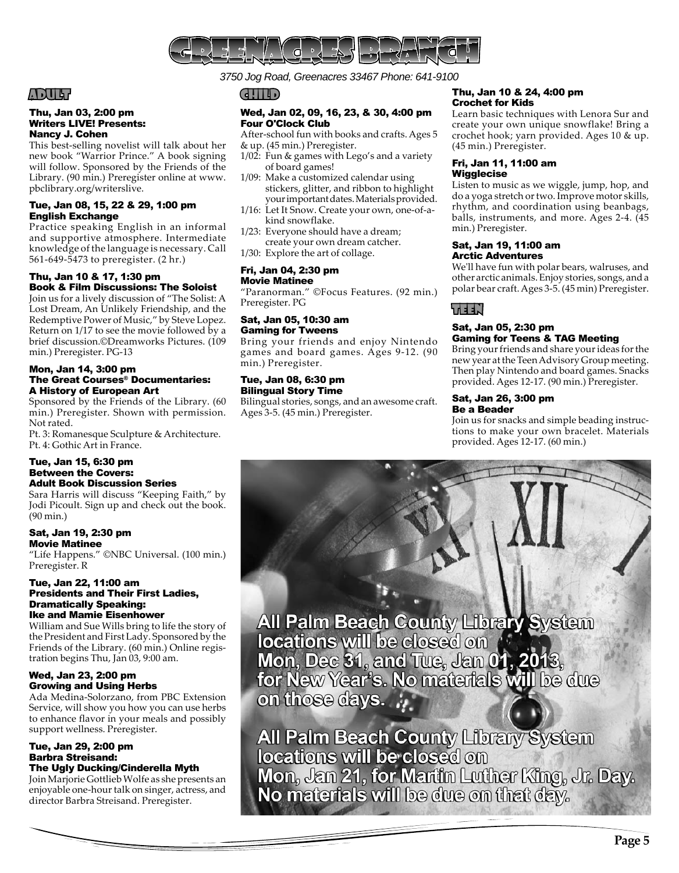

*3750 Jog Road, Greenacres 33467 Phone: 641-9100*

# ADULT

### Thu, Jan 03, 2:00 pm Writers LIVE! Presents: Nancy J. Cohen

This best-selling novelist will talk about her new book "Warrior Prince." A book signing will follow. Sponsored by the Friends of the Library. (90 min.) Preregister online at www. pbclibrary.org/writerslive.

### Tue, Jan 08, 15, 22 & 29, 1:00 pm English Exchange

Practice speaking English in an informal and supportive atmosphere. Intermediate knowledge of the language is necessary. Call 561-649-5473 to preregister. (2 hr.)

### Thu, Jan 10 & 17, 1:30 pm Book & Film Discussions: The Soloist

Join us for a lively discussion of "The Solist: A Lost Dream, An Unlikely Friendship, and the Redemptive Power of Music," by Steve Lopez. Return on 1/17 to see the movie followed by a brief discussion.©Dreamworks Pictures. (109 min.) Preregister. PG-13

### Mon, Jan 14, 3:00 pm The Great Courses® Documentaries: A History of European Art

Sponsored by the Friends of the Library. (60 min.) Preregister. Shown with permission. Not rated.

Pt. 3: Romanesque Sculpture & Architecture. Pt. 4: Gothic Art in France.

### Tue, Jan 15, 6:30 pm Between the Covers: Adult Book Discussion Series

Sara Harris will discuss "Keeping Faith," by Jodi Picoult. Sign up and check out the book. (90 min.)

### Sat, Jan 19, 2:30 pm Movie Matinee

"Life Happens." ©NBC Universal. (100 min.) Preregister. R

### Tue, Jan 22, 11:00 am Presidents and Their First Ladies, Dramatically Speaking: Ike and Mamie Eisenhower

William and Sue Wills bring to life the story of the President and First Lady. Sponsored by the Friends of the Library. (60 min.) Online registration begins Thu, Jan 03, 9:00 am.

### Wed, Jan 23, 2:00 pm Growing and Using Herbs

Ada Medina-Solorzano, from PBC Extension Service, will show you how you can use herbs to enhance flavor in your meals and possibly support wellness. Preregister.

### Tue, Jan 29, 2:00 pm Barbra Streisand: The Ugly Ducking/Cinderella Myth

Join Marjorie Gottlieb Wolfe as she presents an enjoyable one-hour talk on singer, actress, and director Barbra Streisand. Preregister.

# CHILD

### Wed, Jan 02, 09, 16, 23, & 30, 4:00 pm Four O'Clock Club

- After-school fun with books and crafts. Ages 5
- & up. (45 min.) Preregister.
- 1/02: Fun & games with Lego's and a variety of board games!
- 1/09: Make a customized calendar using stickers, glitter, and ribbon to highlight your important dates. Materials provided.
- 1/16: Let It Snow. Create your own, one-of-a kind snowflake.
- 1/23: Everyone should have a dream;
- create your own dream catcher. 1/30: Explore the art of collage.

### Fri, Jan 04, 2:30 pm Movie Matinee

"Paranorman." ©Focus Features. (92 min.) Preregister. PG

### Sat, Jan 05, 10:30 am Gaming for Tweens

Bring your friends and enjoy Nintendo games and board games. Ages 9-12. (90 min.) Preregister.

# Tue, Jan 08, 6:30 pm

Bilingual Story Time Bilingual stories, songs, and an awesome craft. Ages 3-5. (45 min.) Preregister.

### Thu, Jan 10 & 24, 4:00 pm Crochet for Kids

Learn basic techniques with Lenora Sur and create your own unique snowflake! Bring a crochet hook; yarn provided. Ages 10 & up. (45 min.) Preregister.

### Fri, Jan 11, 11:00 am Wigglecise

Listen to music as we wiggle, jump, hop, and do a yoga stretch or two. Improve motor skills, rhythm, and coordination using beanbags, balls, instruments, and more. Ages 2-4. (45 min.) Preregister.

### Sat, Jan 19, 11:00 am Arctic Adventures

We'll have fun with polar bears, walruses, and other arctic animals. Enjoy stories, songs, and a polar bear craft. Ages 3-5. (45 min) Preregister.

# LEEN t

### Sat, Jan 05, 2:30 pm Gaming for Teens & TAG Meeting

Bring your friends and share your ideas for the new year at the Teen Advisory Group meeting. Then play Nintendo and board games. Snacks provided. Ages 12-17. (90 min.) Preregister.

### Sat, Jan 26, 3:00 pm Be a Beader

Join us for snacks and simple beading instructions to make your own bracelet. Materials provided. Ages 12-17. (60 min.)



All Palm Beach County Library System locations will be closed on Mon, Jan 21, for Martin Luther King, Jr. Day.<br>No materials will be due on that day.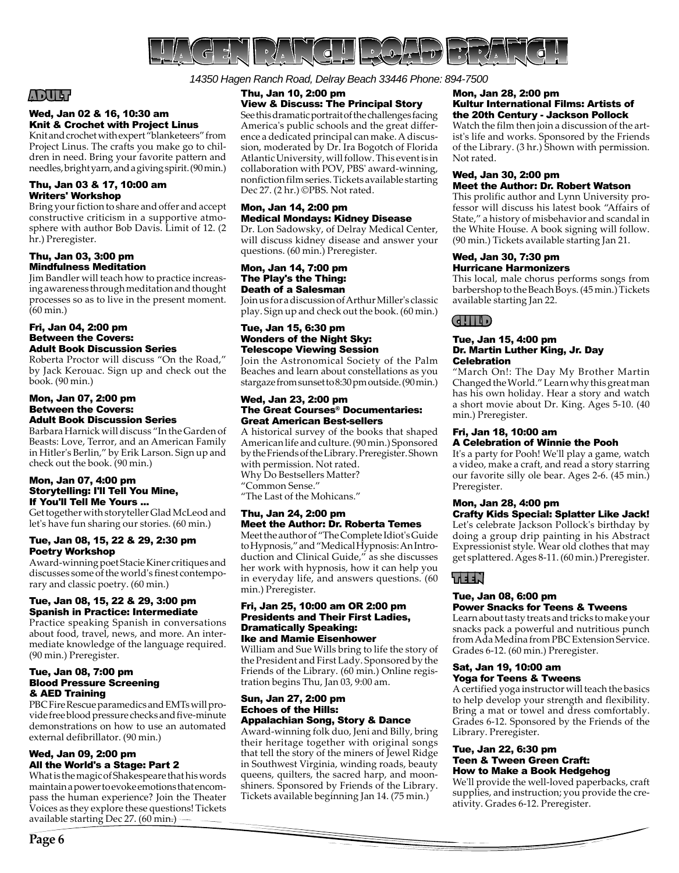

*14350 Hagen Ranch Road, Delray Beach 33446 Phone: 894-7500* 

# ADULT

### Wed, Jan 02 & 16, 10:30 am Knit & Crochet with Project Linus

Knit and crochet with expert "blanketeers" from Project Linus. The crafts you make go to children in need. Bring your favorite pattern and needles, bright yarn, and a giving spirit. (90 min.)

### Thu, Jan 03 & 17, 10:00 am Writers' Workshop

Bring your fiction to share and offer and accept constructive criticism in a supportive atmosphere with author Bob Davis. Limit of 12. (2 hr.) Preregister.

### Thu, Jan 03, 3:00 pm Mindfulness Meditation

Jim Bandler will teach how to practice increasing awareness through meditation and thought processes so as to live in the present moment. (60 min.)

### Fri, Jan 04, 2:00 pm Between the Covers: Adult Book Discussion Series

Roberta Proctor will discuss "On the Road," by Jack Kerouac. Sign up and check out the book. (90 min.)

### Mon, Jan 07, 2:00 pm Between the Covers: Adult Book Discussion Series

Barbara Harnick will discuss "In the Garden of Beasts: Love, Terror, and an American Family in Hitler's Berlin," by Erik Larson. Sign up and check out the book. (90 min.)

### Mon, Jan 07, 4:00 pm Storytelling: I'll Tell You Mine, If You'll Tell Me Yours ...

Get together with storyteller Glad McLeod and let's have fun sharing our stories. (60 min.)

### Tue, Jan 08, 15, 22 & 29, 2:30 pm Poetry Workshop

Award-winning poet Stacie Kiner critiques and discusses some of the world's finest contemporary and classic poetry. (60 min.)

### Tue, Jan 08, 15, 22 & 29, 3:00 pm Spanish in Practice: Intermediate

Practice speaking Spanish in conversations about food, travel, news, and more. An intermediate knowledge of the language required. (90 min.) Preregister.

### Tue, Jan 08, 7:00 pm Blood Pressure Screening & AED Training

PBC Fire Rescue paramedics and EMTs will provide free blood pressure checks and five-minute demonstrations on how to use an automated external defibrillator. (90 min.)

### Wed, Jan 09, 2:00 pm All the World's a Stage: Part 2

What is the magic of Shakespeare that his words maintain a power to evoke emotions that encompass the human experience? Join the Theater Voices as they explore these questions! Tickets available starting Dec 27. (60 min.)

### Thu, Jan 10, 2:00 pm View & Discuss: The Principal Story

See this dramatic portrait of the challenges facing America's public schools and the great difference a dedicated principal can make. A discussion, moderated by Dr. Ira Bogotch of Florida Atlantic University, will follow. This event is in collaboration with POV, PBS' award-winning, nonfiction film series. Tickets available starting Dec 27. (2 hr.) ©PBS. Not rated.

# Mon, Jan 14, 2:00 pm Medical Mondays: Kidney Disease

Dr. Lon Sadowsky, of Delray Medical Center, will discuss kidney disease and answer your questions. (60 min.) Preregister.

### Mon, Jan 14, 7:00 pm The Play's the Thing: Death of a Salesman

Join us for a discussion of Arthur Miller's classic play. Sign up and check out the book. (60 min.)

### Tue, Jan 15, 6:30 pm Wonders of the Night Sky: Telescope Viewing Session

Join the Astronomical Society of the Palm Beaches and learn about constellations as you stargaze from sunset to 8:30 pm outside. (90 min.)

### Wed, Jan 23, 2:00 pm The Great Courses® Documentaries: Great American Best-sellers

A historical survey of the books that shaped American life and culture. (90 min.) Sponsored by the Friends of the Library. Preregister. Shown with permission. Not rated. Why Do Bestsellers Matter? "Common Sense." "The Last of the Mohicans."

### Thu, Jan 24, 2:00 pm Meet the Author: Dr. Roberta Temes

Meet the author of "The Complete Idiot's Guide to Hypnosis," and "Medical Hypnosis: An Introduction and Clinical Guide," as she discusses her work with hypnosis, how it can help you in everyday life, and answers questions. (60 min.) Preregister.

### Fri, Jan 25, 10:00 am OR 2:00 pm Presidents and Their First Ladies, Dramatically Speaking: Ike and Mamie Eisenhower

William and Sue Wills bring to life the story of the President and First Lady. Sponsored by the Friends of the Library. (60 min.) Online registration begins Thu, Jan 03, 9:00 am.

### Sun, Jan 27, 2:00 pm Echoes of the Hills: Appalachian Song, Story & Dance

Award-winning folk duo, Jeni and Billy, bring their heritage together with original songs that tell the story of the miners of Jewel Ridge in Southwest Virginia, winding roads, beauty queens, quilters, the sacred harp, and moonshiners. Sponsored by Friends of the Library. Tickets available beginning Jan 14. (75 min.)

### Mon, Jan 28, 2:00 pm Kultur International Films: Artists of the 20th Century - Jackson Pollock

Watch the film then join a discussion of the artist's life and works. Sponsored by the Friends of the Library. (3 hr.) Shown with permission. Not rated.

### Wed, Jan 30, 2:00 pm Meet the Author: Dr. Robert Watson

This prolific author and Lynn University professor will discuss his latest book "Affairs of State," a history of misbehavior and scandal in the White House. A book signing will follow. (90 min.) Tickets available starting Jan 21.

### Wed, Jan 30, 7:30 pm Hurricane Harmonizers

This local, male chorus performs songs from barbershop to the Beach Boys. (45 min.) Tickets available starting Jan 22.

# CHILD

### Tue, Jan 15, 4:00 pm Dr. Martin Luther King, Jr. Day **Celebration**

"March On!: The Day My Brother Martin Changed the World." Learn why this great man has his own holiday. Hear a story and watch a short movie about Dr. King. Ages 5-10. (40 min.) Preregister.

### Fri, Jan 18, 10:00 am A Celebration of Winnie the Pooh

It's a party for Pooh! We'll play a game, watch a video, make a craft, and read a story starring our favorite silly ole bear. Ages 2-6. (45 min.) Preregister.

# Mon, Jan 28, 4:00 pm

Crafty Kids Special: Splatter Like Jack! Let's celebrate Jackson Pollock's birthday by doing a group drip painting in his Abstract Expressionist style. Wear old clothes that may get splattered. Ages 8-11. (60 min.) Preregister.

# LEEN'

### Tue, Jan 08, 6:00 pm Power Snacks for Teens & Tweens

Learn about tasty treats and tricks to make your snacks pack a powerful and nutritious punch from Ada Medina from PBC Extension Service. Grades 6-12. (60 min.) Preregister.

### Sat, Jan 19, 10:00 am Yoga for Teens & Tweens

A certified yoga instructor will teach the basics to help develop your strength and flexibility. Bring a mat or towel and dress comfortably. Grades 6-12. Sponsored by the Friends of the Library. Preregister.

### Tue, Jan 22, 6:30 pm Teen & Tween Green Craft: How to Make a Book Hedgehog

We'll provide the well-loved paperbacks, craft supplies, and instruction; you provide the creativity. Grades 6-12. Preregister.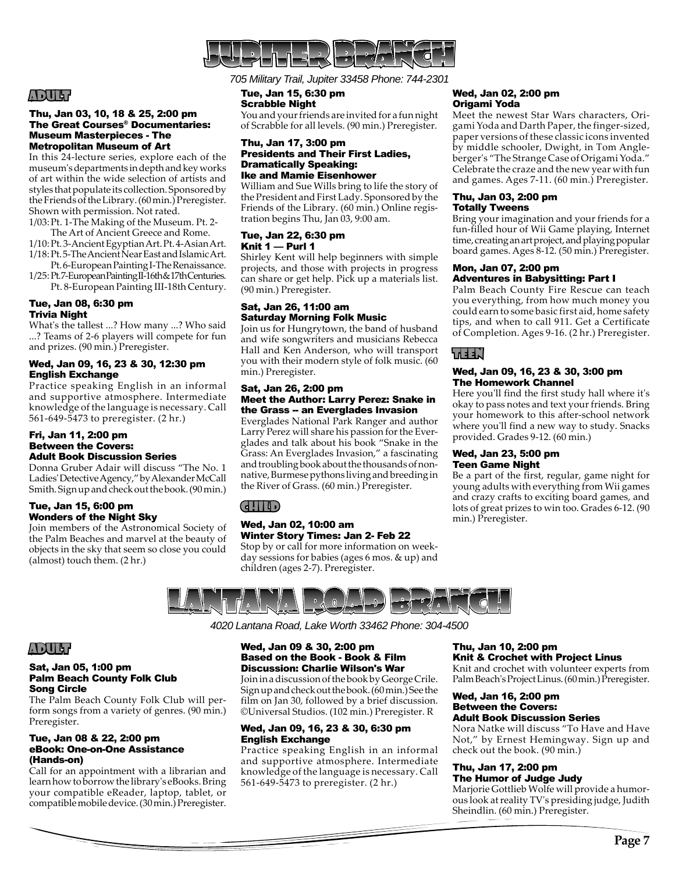

# ADULT

### Thu, Jan 03, 10, 18 & 25, 2:00 pm The Great Courses® Documentaries: Museum Masterpieces - The Metropolitan Museum of Art

In this 24-lecture series, explore each of the museum's departments in depth and key works of art within the wide selection of artists and styles that populate its collection. Sponsored by the Friends of the Library. (60 min.) Preregister. Shown with permission. Not rated.

1/03: Pt. 1-The Making of the Museum. Pt. 2- The Art of Ancient Greece and Rome.

- 1/10: Pt. 3-Ancient Egyptian Art. Pt. 4-Asian Art. 1/18: Pt. 5-The Ancient Near East and Islamic Art.
- Pt. 6-European Painting I-The Renaissance. 1/25: Pt. 7-European Painting II-16th & 17th Centuries.
- Pt. 8-European Painting III-18th Century.

### Tue, Jan 08, 6:30 pm Trivia Night

What's the tallest ...? How many ...? Who said ...? Teams of 2-6 players will compete for fun and prizes. (90 min.) Preregister.

### Wed, Jan 09, 16, 23 & 30, 12:30 pm English Exchange

Practice speaking English in an informal and supportive atmosphere. Intermediate knowledge of the language is necessary. Call 561-649-5473 to preregister. (2 hr.)

### Fri, Jan 11, 2:00 pm Between the Covers: Adult Book Discussion Series

Donna Gruber Adair will discuss "The No. 1 Ladies' Detective Agency," by Alexander McCall Smith. Sign up and check out the book. (90 min.)

### Tue, Jan 15, 6:00 pm Wonders of the Night Sky

Join members of the Astronomical Society of the Palm Beaches and marvel at the beauty of objects in the sky that seem so close you could (almost) touch them. (2 hr.)

*705 Military Trail, Jupiter 33458 Phone: 744-2301*

### Tue, Jan 15, 6:30 pm Scrabble Night

You and your friends are invited for a fun night of Scrabble for all levels. (90 min.) Preregister.

### Thu, Jan 17, 3:00 pm Presidents and Their First Ladies, Dramatically Speaking: Ike and Mamie Eisenhower

William and Sue Wills bring to life the story of the President and First Lady. Sponsored by the Friends of the Library. (60 min.) Online registration begins Thu, Jan 03, 9:00 am.

### Tue, Jan 22, 6:30 pm Knit 1 — Purl 1

Shirley Kent will help beginners with simple projects, and those with projects in progress can share or get help. Pick up a materials list. (90 min.) Preregister.

### Sat, Jan 26, 11:00 am Saturday Morning Folk Music

Join us for Hungrytown, the band of husband and wife songwriters and musicians Rebecca Hall and Ken Anderson, who will transport you with their modern style of folk music. (60 min.) Preregister.

### Sat, Jan 26, 2:00 pm Meet the Author: Larry Perez: Snake in the Grass -- an Everglades Invasion

Everglades National Park Ranger and author Larry Perez will share his passion for the Everglades and talk about his book "Snake in the Grass: An Everglades Invasion," a fascinating and troubling book about the thousands of nonnative, Burmese pythons living and breeding in the River of Grass. (60 min.) Preregister.

# CHILD

### Wed, Jan 02, 10:00 am Winter Story Times: Jan 2- Feb 22

Stop by or call for more information on weekday sessions for babies (ages 6 mos. & up) and children (ages 2-7). Preregister.

### Wed, Jan 02, 2:00 pm Origami Yoda

Meet the newest Star Wars characters, Origami Yoda and Darth Paper, the finger-sized, paper versions of these classic icons invented by middle schooler, Dwight, in Tom Angleberger's "The Strange Case of Origami Yoda." Celebrate the craze and the new year with fun and games. Ages 7-11. (60 min.) Preregister.

### Thu, Jan 03, 2:00 pm Totally Tweens

Bring your imagination and your friends for a fun-filled hour of Wii Game playing, Internet time, creating an art project, and playing popular board games. Ages 8-12. (50 min.) Preregister.

### Mon, Jan 07, 2:00 pm Adventures in Babysitting: Part I

Palm Beach County Fire Rescue can teach you everything, from how much money you could earn to some basic first aid, home safety tips, and when to call 911. Get a Certificate of Completion. Ages 9-16. (2 hr.) Preregister.

# TEEN

### Wed, Jan 09, 16, 23 & 30, 3:00 pm The Homework Channel

Here you'll find the first study hall where it's okay to pass notes and text your friends. Bring your homework to this after-school network where you'll find a new way to study. Snacks provided. Grades 9-12. (60 min.)

### Wed, Jan 23, 5:00 pm Teen Game Night

Be a part of the first, regular, game night for young adults with everything from Wii games and crazy crafts to exciting board games, and lots of great prizes to win too. Grades 6-12. (90 min.) Preregister.



*4020 Lantana Road, Lake Worth 33462 Phone: 304-4500*

# ADULT

### Sat, Jan 05, 1:00 pm Palm Beach County Folk Club Song Circle

The Palm Beach County Folk Club will perform songs from a variety of genres. (90 min.) Preregister.

### Tue, Jan 08 & 22, 2:00 pm eBook: One-on-One Assistance (Hands-on)

Call for an appointment with a librarian and learn how to borrow the library's eBooks. Bring your compatible eReader, laptop, tablet, or compatible mobile device. (30 min.) Preregister.

### Wed, Jan 09 & 30, 2:00 pm Based on the Book - Book & Film Discussion: Charlie Wilson's War

Join in a discussion of the book by George Crile. Sign up and check out the book. (60 min.) See the film on Jan 30, followed by a brief discussion. ©Universal Studios. (102 min.) Preregister. R

### Wed, Jan 09, 16, 23 & 30, 6:30 pm English Exchange

Practice speaking English in an informal and supportive atmosphere. Intermediate knowledge of the language is necessary. Call 561-649-5473 to preregister. (2 hr.)

### Thu, Jan 10, 2:00 pm Knit & Crochet with Project Linus

Knit and crochet with volunteer experts from Palm Beach's Project Linus. (60 min.) Preregister.

### Wed, Jan 16, 2:00 pm Between the Covers: Adult Book Discussion Series

Nora Natke will discuss "To Have and Have Not," by Ernest Hemingway. Sign up and check out the book. (90 min.)

### Thu, Jan 17, 2:00 pm The Humor of Judge Judy

Marjorie Gottlieb Wolfe will provide a humorous look at reality TV's presiding judge, Judith Sheindlin. (60 min.) Preregister.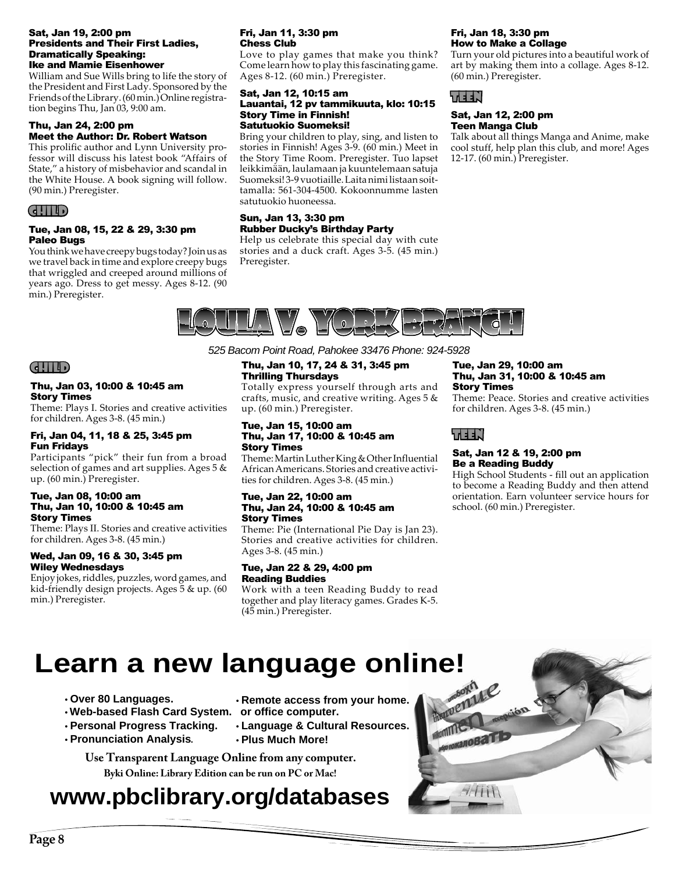### Sat, Jan 19, 2:00 pm Presidents and Their First Ladies, Dramatically Speaking: Ike and Mamie Eisenhower

William and Sue Wills bring to life the story of the President and First Lady. Sponsored by the Friends of the Library. (60 min.) Online registration begins Thu, Jan 03, 9:00 am.

### Thu, Jan 24, 2:00 pm Meet the Author: Dr. Robert Watson

This prolific author and Lynn University professor will discuss his latest book "Affairs of State," a history of misbehavior and scandal in the White House. A book signing will follow. (90 min.) Preregister.

### CHILD

### Tue, Jan 08, 15, 22 & 29, 3:30 pm Paleo Bugs

You think we have creepy bugs today? Join us as we travel back in time and explore creepy bugs that wriggled and creeped around millions of years ago. Dress to get messy. Ages 8-12. (90 min.) Preregister.

### Fri, Jan 11, 3:30 pm Chess Club

Love to play games that make you think? Come learn how to play this fascinating game. Ages 8-12. (60 min.) Preregister.

### Sat, Jan 12, 10:15 am Lauantai, 12 pv tammikuuta, klo: 10:15 Story Time in Finnish! Satutuokio Suomeksi!

Bring your children to play, sing, and listen to stories in Finnish! Ages 3-9. (60 min.) Meet in the Story Time Room. Preregister. Tuo lapset leikkimään, laulamaan ja kuuntelemaan satuja Suomeksi! 3-9 vuotiaille. Laita nimi listaan soittamalla: 561-304-4500. Kokoonnumme lasten satutuokio huoneessa.

### Sun, Jan 13, 3:30 pm Rubber Ducky's Birthday Party

Help us celebrate this special day with cute stories and a duck craft. Ages 3-5. (45 min.) Preregister.

### Fri, Jan 18, 3:30 pm How to Make a Collage

Turn your old pictures into a beautiful work of art by making them into a collage. Ages 8-12. (60 min.) Preregister.



### Sat, Jan 12, 2:00 pm Teen Manga Club

Talk about all things Manga and Anime, make cool stuff, help plan this club, and more! Ages 12-17. (60 min.) Preregister.



### CHILD

### Thu, Jan 03, 10:00 & 10:45 am Story Times

Theme: Plays I. Stories and creative activities for children. Ages 3-8. (45 min.)

### Fri, Jan 04, 11, 18 & 25, 3:45 pm Fun Fridays

Participants "pick" their fun from a broad selection of games and art supplies. Ages 5 & up. (60 min.) Preregister.

### Tue, Jan 08, 10:00 am Thu, Jan 10, 10:00 & 10:45 am Story Times

Theme: Plays II. Stories and creative activities for children. Ages 3-8. (45 min.)

### Wed, Jan 09, 16 & 30, 3:45 pm Wiley Wednesdays

Enjoy jokes, riddles, puzzles, word games, and kid-friendly design projects. Ages 5 & up. (60 min.) Preregister.

# *525 Bacom Point Road, Pahokee 33476 Phone: 924-5928*

### Thu, Jan 10, 17, 24 & 31, 3:45 pm Thrilling Thursdays

Totally express yourself through arts and crafts, music, and creative writing. Ages  $5 \&$ up. (60 min.) Preregister.

### Tue, Jan 15, 10:00 am Thu, Jan 17, 10:00 & 10:45 am Story Times

Theme: Martin Luther King & Other Influential African Americans. Stories and creative activities for children. Ages 3-8. (45 min.)

### Tue, Jan 22, 10:00 am Thu, Jan 24, 10:00 & 10:45 am Story Times

Theme: Pie (International Pie Day is Jan 23). Stories and creative activities for children. Ages 3-8. (45 min.)

### Tue, Jan 22 & 29, 4:00 pm Reading Buddies

Work with a teen Reading Buddy to read together and play literacy games. Grades K-5. (45 min.) Preregister.

### Tue, Jan 29, 10:00 am Thu, Jan 31, 10:00 & 10:45 am Story Times

Theme: Peace. Stories and creative activities for children. Ages 3-8. (45 min.)

# TEEN

### Sat, Jan 12 & 19, 2:00 pm Be a Reading Buddy

High School Students - fill out an application to become a Reading Buddy and then attend orientation. Earn volunteer service hours for school. (60 min.) Preregister.

# **Learn a new language online!**<br>
Over 80 Languages.<br>
Web-based Flash Card System. Or office comes from your home **All property Controls and System.**

- **tOver 80 Languages.**
- **tWeb-based Flash Card System. or office computer.**
- **tPersonal Progress Tracking.**
- **tPronunciation Analysis** .
- 
- **tRemote access from your home.**
- 
- **tLanguage & Cultural Resources.**
- **tPlus Much More!**

# **Byki Online: Library Edition can be run on PC or Mac! Use Transparent Language Online from any computer.**

# **www.pbclibrary.org/databases**

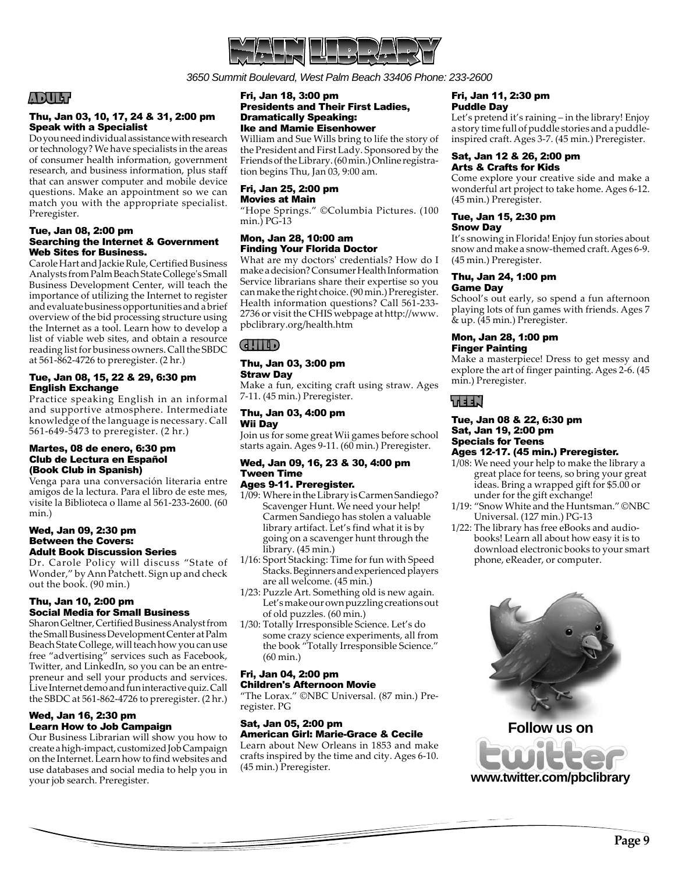

*3650 Summit Boulevard, West Palm Beach 33406 Phone: 233-2600*

# ADULT

### Thu, Jan 03, 10, 17, 24 & 31, 2:00 pm Speak with a Specialist

Do you need individual assistance with research or technology? We have specialists in the areas of consumer health information, government research, and business information, plus staff that can answer computer and mobile device questions. Make an appointment so we can match you with the appropriate specialist. Preregister.

### Tue, Jan 08, 2:00 pm Searching the Internet & Government Web Sites for Business.

Carole Hart and Jackie Rule, Certified Business Analysts from Palm Beach State College's Small Business Development Center, will teach the importance of utilizing the Internet to register and evaluate business opportunities and a brief overview of the bid processing structure using the Internet as a tool. Learn how to develop a list of viable web sites, and obtain a resource reading list for business owners. Call the SBDC at 561-862-4726 to preregister. (2 hr.)

### Tue, Jan 08, 15, 22 & 29, 6:30 pm English Exchange

Practice speaking English in an informal and supportive atmosphere. Intermediate knowledge of the language is necessary. Call 561-649-5473 to preregister. (2 hr.)

### Martes, 08 de enero, 6:30 pm Club de Lectura en Español (Book Club in Spanish)

Venga para una conversación literaria entre amigos de la lectura. Para el libro de este mes, visite la Biblioteca o llame al 561-233-2600. (60 min.)

### Wed, Jan 09, 2:30 pm Between the Covers: Adult Book Discussion Series

Dr. Carole Policy will discuss "State of Wonder," by Ann Patchett. Sign up and check out the book. (90 min.)

### Thu, Jan 10, 2:00 pm Social Media for Small Business

Sharon Geltner, Certified Business Analyst from the Small Business Development Center at Palm Beach State College, will teach how you can use free "advertising" services such as Facebook, Twitter, and LinkedIn, so you can be an entrepreneur and sell your products and services. Live Internet demo and fun interactive quiz. Call the SBDC at 561-862-4726 to preregister. (2 hr.)

### Wed, Jan 16, 2:30 pm Learn How to Job Campaign

Our Business Librarian will show you how to create a high-impact, customized Job Campaign on the Internet. Learn how to find websites and use databases and social media to help you in your job search. Preregister.

### Fri, Jan 18, 3:00 pm Presidents and Their First Ladies, Dramatically Speaking: Ike and Mamie Eisenhower

William and Sue Wills bring to life the story of the President and First Lady. Sponsored by the Friends of the Library. (60 min.) Online registration begins Thu, Jan 03, 9:00 am.

### Fri, Jan 25, 2:00 pm Movies at Main

"Hope Springs." ©Columbia Pictures. (100 min.) PG-13

### Mon, Jan 28, 10:00 am Finding Your Florida Doctor

What are my doctors' credentials? How do I make a decision? Consumer Health Information Service librarians share their expertise so you can make the right choice. (90 min.) Preregister. Health information questions? Call 561-233- 2736 or visit the CHIS webpage at http://www. pbclibrary.org/health.htm

# CHILD

### Thu, Jan 03, 3:00 pm Straw Day

Make a fun, exciting craft using straw. Ages 7-11. (45 min.) Preregister.

### Thu, Jan 03, 4:00 pm Wii Day

Join us for some great Wii games before school starts again. Ages 9-11. (60 min.) Preregister.

### Wed, Jan 09, 16, 23 & 30, 4:00 pm Tween Time

# Ages 9-11. Preregister.

- 1/09: Where in the Library is Carmen Sandiego? Scavenger Hunt. We need your help! Carmen Sandiego has stolen a valuable library artifact. Let's find what it is by going on a scavenger hunt through the library. (45 min.)
- 1/16: Sport Stacking: Time for fun with Speed Stacks. Beginners and experienced players are all welcome. (45 min.)
- 1/23: Puzzle Art. Something old is new again. Let's make our own puzzling creations out of old puzzles. (60 min.)
- 1/30: Totally Irresponsible Science. Let's do some crazy science experiments, all from the book "Totally Irresponsible Science." (60 min.)

### Fri, Jan 04, 2:00 pm

### Children's Afternoon Movie

"The Lorax." ©NBC Universal. (87 min.) Preregister. PG

### Sat, Jan 05, 2:00 pm

American Girl: Marie-Grace & Cecile Learn about New Orleans in 1853 and make crafts inspired by the time and city. Ages 6-10. (45 min.) Preregister.

### Fri, Jan 11, 2:30 pm Puddle Day

Let's pretend it's raining – in the library! Enjoy a story time full of puddle stories and a puddleinspired craft. Ages 3-7. (45 min.) Preregister.

### Sat, Jan 12 & 26, 2:00 pm Arts & Crafts for Kids

Come explore your creative side and make a wonderful art project to take home. Ages 6-12. (45 min.) Preregister.

### Tue, Jan 15, 2:30 pm Snow Day

It's snowing in Florida! Enjoy fun stories about snow and make a snow-themed craft. Ages 6-9. (45 min.) Preregister.

### Thu, Jan 24, 1:00 pm Game Day

School's out early, so spend a fun afternoon playing lots of fun games with friends. Ages 7 & up. (45 min.) Preregister.

### Mon, Jan 28, 1:00 pm Finger Painting

Make a masterpiece! Dress to get messy and explore the art of finger painting. Ages 2-6. (45 min.) Preregister.

# TEEN

### Tue, Jan 08 & 22, 6:30 pm Sat, Jan 19, 2:00 pm Specials for Teens Ages 12-17. (45 min.) Preregister.

- 1/08: We need your help to make the library a great place for teens, so bring your great ideas. Bring a wrapped gift for \$5.00 or under for the gift exchange!
- 1/19: "Snow White and the Huntsman." ©NBC Universal. (127 min.) PG-13
- 1/22: The library has free eBooks and audio books! Learn all about how easy it is to download electronic books to your smart phone, eReader, or computer.



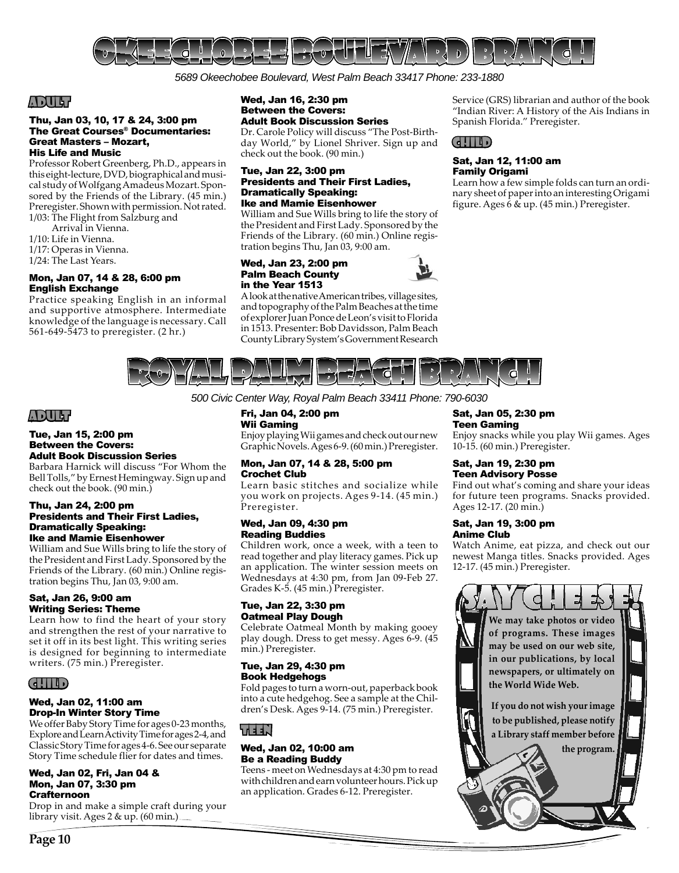

*5689 Okeechobee Boulevard, West Palm Beach 33417 Phone: 233-1880*

# ADULT

### Thu, Jan 03, 10, 17 & 24, 3:00 pm The Great Courses® Documentaries: Great Masters – Mozart, His Life and Music

Professor Robert Greenberg, Ph.D., appears in this eight-lecture, DVD, biographical and musical study of Wolfgang Amadeus Mozart. Sponsored by the Friends of the Library. (45 min.) Preregister. Shown with permission. Not rated. 1/03: The Flight from Salzburg and

- Arrival in Vienna.
- 1/10: Life in Vienna.
- 1/17: Operas in Vienna.
- 1/24: The Last Years.

### Mon, Jan 07, 14 & 28, 6:00 pm English Exchange

Practice speaking English in an informal and supportive atmosphere. Intermediate knowledge of the language is necessary. Call 561-649-5473 to preregister. (2 hr.)

### Wed, Jan 16, 2:30 pm Between the Covers: Adult Book Discussion Series

Dr. Carole Policy will discuss "The Post-Birthday World," by Lionel Shriver. Sign up and check out the book. (90 min.)

### Tue, Jan 22, 3:00 pm Presidents and Their First Ladies, Dramatically Speaking: Ike and Mamie Eisenhower

William and Sue Wills bring to life the story of the President and First Lady. Sponsored by the Friends of the Library. (60 min.) Online registration begins Thu, Jan 03, 9:00 am.

### Wed, Jan 23, 2:00 pm Palm Beach County in the Year 1513

A look at the native American tribes, village sites, and topography of the Palm Beaches at the time of explorer Juan Ponce de Leon's visit to Florida in 1513. Presenter: Bob Davidsson, Palm Beach County Library System's Government Research

Service (GRS) librarian and author of the book "Indian River: A History of the Ais Indians in Spanish Florida." Preregister.



### Sat, Jan 12, 11:00 am Family Origami

Learn how a few simple folds can turn an ordinary sheet of paper into an interesting Origami figure. Ages 6 & up. (45 min.) Preregister.



*500 Civic Center Way, Royal Palm Beach 33411 Phone: 790-6030*

# ADULT

### Tue, Jan 15, 2:00 pm Between the Covers: Adult Book Discussion Series

Barbara Harnick will discuss "For Whom the Bell Tolls," by Ernest Hemingway. Sign up and check out the book. (90 min.)

### Thu, Jan 24, 2:00 pm Presidents and Their First Ladies, Dramatically Speaking: Ike and Mamie Eisenhower

William and Sue Wills bring to life the story of the President and First Lady. Sponsored by the Friends of the Library. (60 min.) Online registration begins Thu, Jan 03, 9:00 am.

### Sat, Jan 26, 9:00 am Writing Series: Theme

Learn how to find the heart of your story and strengthen the rest of your narrative to set it off in its best light. This writing series is designed for beginning to intermediate writers. (75 min.) Preregister.

# CHILD

### Wed, Jan 02, 11:00 am Drop-In Winter Story Time

We offer Baby Story Time for ages 0-23 months, Explore and Learn Activity Time for ages 2-4, and Classic Story Time for ages 4-6. See our separate Story Time schedule flier for dates and times.

### Wed, Jan 02, Fri, Jan 04 & Mon, Jan 07, 3:30 pm Crafternoon

Drop in and make a simple craft during your library visit. Ages 2 & up. (60 min.)

### Fri, Jan 04, 2:00 pm Wii Gaming

Enjoy playing Wii games and check out our new Graphic Novels. Ages 6-9. (60 min.) Preregister.

### Mon, Jan 07, 14 & 28, 5:00 pm Crochet Club

Learn basic stitches and socialize while you work on projects. Ages 9-14. (45 min.) Preregister.

### Wed, Jan 09, 4:30 pm Reading Buddies

Children work, once a week, with a teen to read together and play literacy games. Pick up an application. The winter session meets on Wednesdays at 4:30 pm, from Jan 09-Feb 27. Grades K-5. (45 min.) Preregister.

### Tue, Jan 22, 3:30 pm Oatmeal Play Dough

Celebrate Oatmeal Month by making gooey play dough. Dress to get messy. Ages 6-9. (45 min.) Preregister.

### Tue, Jan 29, 4:30 pm Book Hedgehogs

Fold pages to turn a worn-out, paperback book into a cute hedgehog. See a sample at the Children's Desk. Ages 9-14. (75 min.) Preregister.

# TEEN

### Wed, Jan 02, 10:00 am Be a Reading Buddy

Teens - meet on Wednesdays at 4:30 pm to read with children and earn volunteer hours. Pick up an application. Grades 6-12. Preregister.

# Sat, Jan 05, 2:30 pm

# Teen Gaming

Enjoy snacks while you play Wii games. Ages 10-15. (60 min.) Preregister.

### Sat, Jan 19, 2:30 pm Teen Advisory Posse

Find out what's coming and share your ideas for future teen programs. Snacks provided. Ages 12-17. (20 min.)

### Sat, Jan 19, 3:00 pm Anime Club

Watch Anime, eat pizza, and check out our newest Manga titles. Snacks provided. Ages 12-17. (45 min.) Preregister.

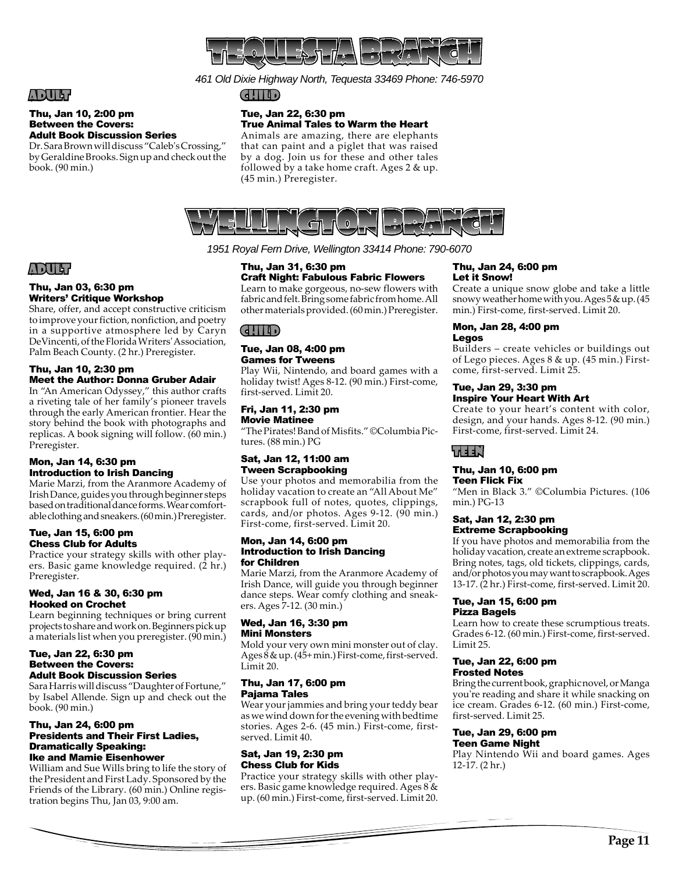

*461 Old Dixie Highway North, Tequesta 33469 Phone: 746-5970*

# ADULT

### Thu, Jan 10, 2:00 pm Between the Covers: Adult Book Discussion Series

Dr. Sara Brown will discuss "Caleb's Crossing," by Geraldine Brooks. Sign up and check out the book. (90 min.)

### CHILD

### Tue, Jan 22, 6:30 pm True Animal Tales to Warm the Heart

Animals are amazing, there are elephants that can paint and a piglet that was raised by a dog. Join us for these and other tales followed by a take home craft. Ages 2 & up. (45 min.) Preregister.



*1951 Royal Fern Drive, Wellington 33414 Phone: 790-6070*

# ADULT

### Thu, Jan 03, 6:30 pm Writers' Critique Workshop

Share, offer, and accept constructive criticism to improve your fiction, nonfiction, and poetry in a supportive atmosphere led by Caryn DeVincenti, of the Florida Writers' Association, Palm Beach County. (2 hr.) Preregister.

### Thu, Jan 10, 2:30 pm Meet the Author: Donna Gruber Adair

In "An American Odyssey," this author crafts a riveting tale of her family's pioneer travels through the early American frontier. Hear the story behind the book with photographs and replicas. A book signing will follow. (60 min.) Preregister.

### Mon, Jan 14, 6:30 pm Introduction to Irish Dancing

Marie Marzi, from the Aranmore Academy of Irish Dance, guides you through beginner steps based on traditional dance forms. Wear comfortable clothing and sneakers. (60 min.) Preregister.

### Tue, Jan 15, 6:00 pm Chess Club for Adults

Practice your strategy skills with other players. Basic game knowledge required. (2 hr.) Preregister.

### Wed, Jan 16 & 30, 6:30 pm Hooked on Crochet

Learn beginning techniques or bring current projects to share and work on. Beginners pick up a materials list when you preregister. (90 min.)

### Tue, Jan 22, 6:30 pm Between the Covers: Adult Book Discussion Series

Sara Harris will discuss "Daughter of Fortune," by Isabel Allende. Sign up and check out the book. (90 min.)

### Thu, Jan 24, 6:00 pm Presidents and Their First Ladies, Dramatically Speaking: Ike and Mamie Eisenhower

William and Sue Wills bring to life the story of the President and First Lady. Sponsored by the Friends of the Library. (60 min.) Online registration begins Thu, Jan 03, 9:00 am.

### Thu, Jan 31, 6:30 pm Craft Night: Fabulous Fabric Flowers

Learn to make gorgeous, no-sew flowers with fabric and felt. Bring some fabric from home. All other materials provided. (60 min.) Preregister.

# $\mathsf{G}$

### Tue, Jan 08, 4:00 pm Games for Tweens

Play Wii, Nintendo, and board games with a holiday twist! Ages 8-12. (90 min.) First-come, first-served. Limit 20.

### Fri, Jan 11, 2:30 pm Movie Matinee

"The Pirates! Band of Misfits." ©Columbia Pictures. (88 min.) PG

### Sat, Jan 12, 11:00 am Tween Scrapbooking

Use your photos and memorabilia from the holiday vacation to create an "All About Me" scrapbook full of notes, quotes, clippings, cards, and/or photos. Ages 9-12. (90 min.) First-come, first-served. Limit 20.

### Mon, Jan 14, 6:00 pm Introduction to Irish Dancing for Children

Marie Marzi, from the Aranmore Academy of Irish Dance, will guide you through beginner dance steps. Wear comfy clothing and sneakers. Ages 7-12. (30 min.)

### Wed, Jan 16, 3:30 pm Mini Monsters

Mold your very own mini monster out of clay. Ages 8 & up. (45+ min.) First-come, first-served. Limit 20.

### Thu, Jan 17, 6:00 pm Pajama Tales

Wear your jammies and bring your teddy bear as we wind down for the evening with bedtime stories. Ages 2-6. (45 min.) First-come, firstserved. Limit 40.

### Sat, Jan 19, 2:30 pm Chess Club for Kids

Practice your strategy skills with other players. Basic game knowledge required. Ages 8 & up. (60 min.) First-come, first-served. Limit 20.

### Thu, Jan 24, 6:00 pm Let it Snow!

Create a unique snow globe and take a little snowy weather home with you. Ages 5 & up. (45 min.) First-come, first-served. Limit 20.

### Mon, Jan 28, 4:00 pm Legos

Builders – create vehicles or buildings out of Lego pieces. Ages 8 & up. (45 min.) Firstcome, first-served. Limit 25.

### Tue, Jan 29, 3:30 pm Inspire Your Heart With Art

Create to your heart's content with color, design, and your hands. Ages 8-12. (90 min.) First-come, first-served. Limit 24.

# LEEN?

# Thu, Jan 10, 6:00 pm

### Teen Flick Fix

"Men in Black 3." ©Columbia Pictures. (106 min.) PG-13

### Sat, Jan 12, 2:30 pm Extreme Scrapbooking

If you have photos and memorabilia from the holiday vacation, create an extreme scrapbook. Bring notes, tags, old tickets, clippings, cards, and/or photos you may want to scrapbook. Ages 13-17. (2 hr.) First-come, first-served. Limit 20.

### Tue, Jan 15, 6:00 pm Pizza Bagels

Learn how to create these scrumptious treats. Grades 6-12. (60 min.) First-come, first-served. Limit 25.

### Tue, Jan 22, 6:00 pm Frosted Notes

Bring the current book, graphic novel, or Manga you're reading and share it while snacking on ice cream. Grades 6-12. (60 min.) First-come, first-served. Limit 25.

### Tue, Jan 29, 6:00 pm Teen Game Night

Play Nintendo Wii and board games. Ages 12-17. (2 hr.)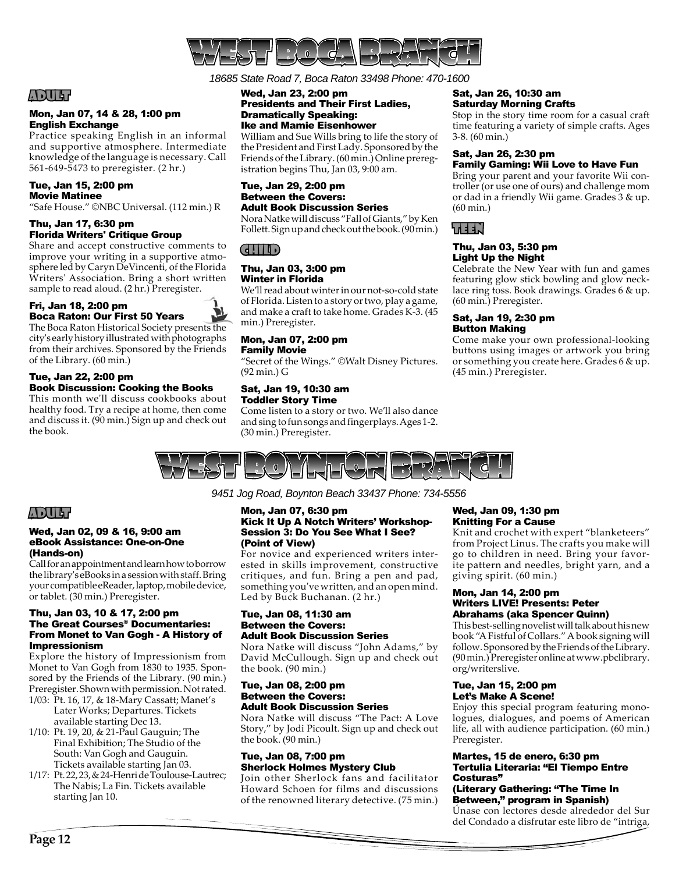

*18685 State Road 7, Boca Raton 33498 Phone: 470-1600*

# ADULT

### Mon, Jan 07, 14 & 28, 1:00 pm English Exchange

Practice speaking English in an informal and supportive atmosphere. Intermediate knowledge of the language is necessary. Call 561-649-5473 to preregister. (2 hr.)

### Tue, Jan 15, 2:00 pm Movie Matinee

"Safe House." ©NBC Universal. (112 min.) R

### Thu, Jan 17, 6:30 pm Florida Writers' Critique Group

Share and accept constructive comments to improve your writing in a supportive atmosphere led by Caryn DeVincenti, of the Florida Writers' Association. Bring a short written sample to read aloud. (2 hr.) Preregister.

### Fri, Jan 18, 2:00 pm Boca Raton: Our First 50 Years

The Boca Raton Historical Society presents the city's early history illustrated with photographs from their archives. Sponsored by the Friends of the Library. (60 min.)

### Tue, Jan 22, 2:00 pm Book Discussion: Cooking the Books

This month we'll discuss cookbooks about healthy food. Try a recipe at home, then come and discuss it. (90 min.) Sign up and check out the book.

### Wed, Jan 23, 2:00 pm Presidents and Their First Ladies, Dramatically Speaking: Ike and Mamie Eisenhower

William and Sue Wills bring to life the story of the President and First Lady. Sponsored by the Friends of the Library. (60 min.) Online preregistration begins Thu, Jan 03, 9:00 am.

### Tue, Jan 29, 2:00 pm Between the Covers: Adult Book Discussion Series

Nora Natke will discuss "Fall of Giants," by Ken Follett. Sign up and check out the book. (90 min.)

# CHILD

### Thu, Jan 03, 3:00 pm Winter in Florida

We'll read about winter in our not-so-cold state of Florida. Listen to a story or two, play a game, and make a craft to take home. Grades K-3. (45 min.) Preregister.

### Mon, Jan 07, 2:00 pm Family Movie

"Secret of the Wings." ©Walt Disney Pictures. (92 min.) G

### Sat, Jan 19, 10:30 am Toddler Story Time

Come listen to a story or two. We'll also dance and sing to fun songs and fingerplays. Ages 1-2. (30 min.) Preregister.

### Sat, Jan 26, 10:30 am Saturday Morning Crafts

Stop in the story time room for a casual craft time featuring a variety of simple crafts. Ages 3-8. (60 min.)

### Sat, Jan 26, 2:30 pm Family Gaming: Wii Love to Have Fun

Bring your parent and your favorite Wii controller (or use one of ours) and challenge mom or dad in a friendly Wii game. Grades 3 & up. (60 min.)

# KEEN'

### Thu, Jan 03, 5:30 pm Light Up the Night

Celebrate the New Year with fun and games featuring glow stick bowling and glow necklace ring toss. Book drawings. Grades 6 & up. (60 min.) Preregister.

### Sat, Jan 19, 2:30 pm Button Making

Come make your own professional-looking buttons using images or artwork you bring or something you create here. Grades 6 & up. (45 min.) Preregister.



### *9451 Jog Road, Boynton Beach 33437 Phone: 734-5556*

# ADULT

### Wed, Jan 02, 09 & 16, 9:00 am eBook Assistance: One-on-One (Hands-on)

Call for an appointment and learn how to borrow the library's eBooks in a session with staff. Bring your compatible eReader, laptop, mobile device, or tablet. (30 min.) Preregister.

### Thu, Jan 03, 10 & 17, 2:00 pm The Great Courses® Documentaries: From Monet to Van Gogh - A History of Impressionism

Explore the history of Impressionism from Monet to Van Gogh from 1830 to 1935. Sponsored by the Friends of the Library. (90 min.) Preregister. Shown with permission. Not rated.

- 1/03: Pt. 16, 17, & 18-Mary Cassatt; Manet's Later Works; Departures. Tickets available starting Dec 13.
- 1/10: Pt. 19, 20, & 21-Paul Gauguin; The Final Exhibition; The Studio of the South: Van Gogh and Gauguin. Tickets available starting Jan 03.
- 1/17: Pt. 22, 23, & 24-Henri de Toulouse-Lautrec; The Nabis; La Fin. Tickets available starting Jan 10.

### Mon, Jan 07, 6:30 pm Kick It Up A Notch Writers' Workshop-Session 3: Do You See What I See? (Point of View)

For novice and experienced writers interested in skills improvement, constructive critiques, and fun. Bring a pen and pad, something you've written, and an open mind. Led by Buck Buchanan. (2 hr.)

### Tue, Jan 08, 11:30 am Between the Covers: Adult Book Discussion Series

Nora Natke will discuss "John Adams," by David McCullough. Sign up and check out the book. (90 min.)

### Tue, Jan 08, 2:00 pm Between the Covers: Adult Book Discussion Series

Nora Natke will discuss "The Pact: A Love Story," by Jodi Picoult. Sign up and check out the book. (90 min.)

### Tue, Jan 08, 7:00 pm Sherlock Holmes Mystery Club

Join other Sherlock fans and facilitator Howard Schoen for films and discussions of the renowned literary detective. (75 min.)

### Wed, Jan 09, 1:30 pm Knitting For a Cause

Knit and crochet with expert "blanketeers" from Project Linus. The crafts you make will go to children in need. Bring your favorite pattern and needles, bright yarn, and a giving spirit. (60 min.)

### Mon, Jan 14, 2:00 pm Writers LIVE! Presents: Peter Abrahams (aka Spencer Quinn)

This best-selling novelist will talk about his new book "A Fistful of Collars." A book signing will follow. Sponsored by the Friends of the Library. (90 min.) Preregister online at www.pbclibrary. org/writerslive.

### Tue, Jan 15, 2:00 pm Let's Make A Scene!

Enjoy this special program featuring monologues, dialogues, and poems of American life, all with audience participation. (60 min.) Preregister.

### Martes, 15 de enero, 6:30 pm Tertulia Literaria: "El Tiempo Entre Costuras"

### (Literary Gathering: "The Time In Between," program in Spanish)

Únase con lectores desde alrededor del Sur del Condado a disfrutar este libro de "intriga,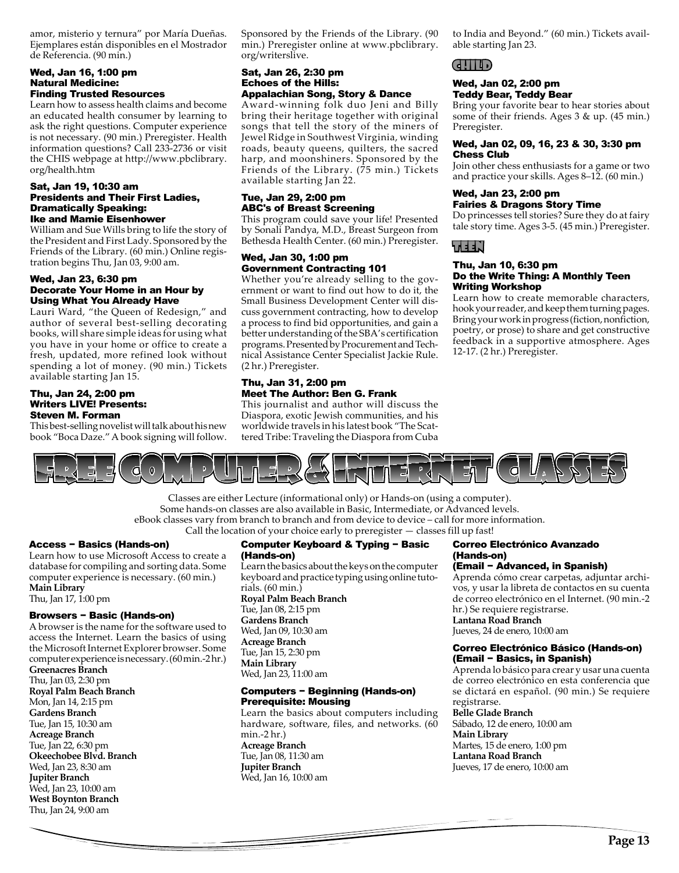amor, misterio y ternura" por María Dueñas. Ejemplares están disponibles en el Mostrador de Referencia. (90 min.)

### Wed, Jan 16, 1:00 pm Natural Medicine: Finding Trusted Resources

Learn how to assess health claims and become an educated health consumer by learning to ask the right questions. Computer experience is not necessary. (90 min.) Preregister. Health information questions? Call 233-2736 or visit the CHIS webpage at http://www.pbclibrary. org/health.htm

### Sat, Jan 19, 10:30 am Presidents and Their First Ladies, Dramatically Speaking: Ike and Mamie Eisenhower

William and Sue Wills bring to life the story of the President and First Lady. Sponsored by the Friends of the Library. (60 min.) Online registration begins Thu, Jan 03, 9:00 am.

### Wed, Jan 23, 6:30 pm Decorate Your Home in an Hour by Using What You Already Have

Lauri Ward, "the Queen of Redesign," and author of several best-selling decorating books, will share simple ideas for using what you have in your home or office to create a fresh, updated, more refined look without spending a lot of money. (90 min.) Tickets available starting Jan 15.

### Thu, Jan 24, 2:00 pm Writers LIVE! Presents: Steven M. Forman

This best-selling novelist will talk about his new book "Boca Daze." A book signing will follow.

Sponsored by the Friends of the Library. (90 min.) Preregister online at www.pbclibrary. org/writerslive.

### Sat, Jan 26, 2:30 pm Echoes of the Hills: Appalachian Song, Story & Dance

Award-winning folk duo Jeni and Billy bring their heritage together with original songs that tell the story of the miners of Jewel Ridge in Southwest Virginia, winding roads, beauty queens, quilters, the sacred harp, and moonshiners. Sponsored by the Friends of the Library. (75 min.) Tickets available starting Jan 22.

### Tue, Jan 29, 2:00 pm ABC's of Breast Screening

This program could save your life! Presented by Sonali Pandya, M.D., Breast Surgeon from Bethesda Health Center. (60 min.) Preregister.

### Wed, Jan 30, 1:00 pm Government Contracting 101

Whether you're already selling to the government or want to find out how to do it, the Small Business Development Center will discuss government contracting, how to develop a process to find bid opportunities, and gain a better understanding of the SBA's certification programs. Presented by Procurement and Technical Assistance Center Specialist Jackie Rule. (2 hr.) Preregister.

### Thu, Jan 31, 2:00 pm Meet The Author: Ben G. Frank

This journalist and author will discuss the Diaspora, exotic Jewish communities, and his worldwide travels in his latest book "The Scattered Tribe: Traveling the Diaspora from Cuba

to India and Beyond." (60 min.) Tickets available starting Jan 23.

# CHILD

### Wed, Jan 02, 2:00 pm Teddy Bear, Teddy Bear

Bring your favorite bear to hear stories about some of their friends. Ages 3 & up. (45 min.) Preregister.

### Wed, Jan 02, 09, 16, 23 & 30, 3:30 pm Chess Club

Join other chess enthusiasts for a game or two and practice your skills. Ages 8–12. (60 min.)

### Wed, Jan 23, 2:00 pm Fairies & Dragons Story Time

Do princesses tell stories? Sure they do at fairy tale story time. Ages 3-5. (45 min.) Preregister.

# LEEN P

### Thu, Jan 10, 6:30 pm Do the Write Thing: A Monthly Teen Writing Workshop

Learn how to create memorable characters, hook your reader, and keep them turning pages. Bring your work in progress (fiction, nonfiction, poetry, or prose) to share and get constructive feedback in a supportive atmosphere. Ages 12-17. (2 hr.) Preregister.



Classes are either Lecture (informational only) or Hands-on (using a computer). Some hands-on classes are also available in Basic, Intermediate, or Advanced levels. eBook classes vary from branch to branch and from device to device – call for more information. Call the location of your choice early to preregister — classes fill up fast!

### Access − Basics (Hands-on)

Learn how to use Microsoft Access to create a database for compiling and sorting data. Some computer experience is necessary. (60 min.) **Main Library**  Thu, Jan 17, 1:00 pm

### Browsers − Basic (Hands-on)

A browser is the name for the software used to access the Internet. Learn the basics of using the Microsoft Internet Explorer browser. Some computer experience is necessary. (60 min.-2 hr.) **Greenacres Branch**  Thu, Jan 03, 2:30 pm **Royal Palm Beach Branch**  Mon, Jan 14, 2:15 pm

**Gardens Branch**  Tue, Jan 15, 10:30 am **Acreage Branch**  Tue, Jan 22, 6:30 pm **Okeechobee Blvd. Branch**  Wed, Jan 23, 8:30 am **Jupiter Branch**  Wed, Jan 23, 10:00 am **West Boynton Branch**  Thu, Jan 24, 9:00 am

### Computer Keyboard & Typing − Basic (Hands-on)

Learn the basics about the keys on the computer keyboard and practice typing using online tutorials. (60 min.) **Royal Palm Beach Branch**  Tue, Jan 08, 2:15 pm **Gardens Branch**  Wed, Jan 09, 10:30 am **Acreage Branch**  Tue, Jan 15, 2:30 pm

**Main Library**  Wed, Jan 23, 11:00 am

### Computers − Beginning (Hands-on) Prerequisite: Mousing

Learn the basics about computers including hardware, software, files, and networks. (60 min.-2 hr.) **Acreage Branch**  Tue, Jan 08, 11:30 am **Jupiter Branch**  Wed, Jan 16, 10:00 am

### Correo Electrónico Avanzado (Hands-on)

### (Email − Advanced, in Spanish)

Aprenda cómo crear carpetas, adjuntar archivos, y usar la libreta de contactos en su cuenta de correo electrónico en el Internet. (90 min.-2 hr.) Se requiere registrarse. **Lantana Road Branch** 

Jueves, 24 de enero, 10:00 am

### Correo Electrónico Básico (Hands-on) (Email − Basics, in Spanish)

Aprenda lo básico para crear y usar una cuenta de correo electrónico en esta conferencia que se dictará en español. (90 min.) Se requiere registrarse.

### **Belle Glade Branch**

Sábado, 12 de enero, 10:00 am **Main Library**  Martes, 15 de enero, 1:00 pm **Lantana Road Branch**  Jueves, 17 de enero, 10:00 am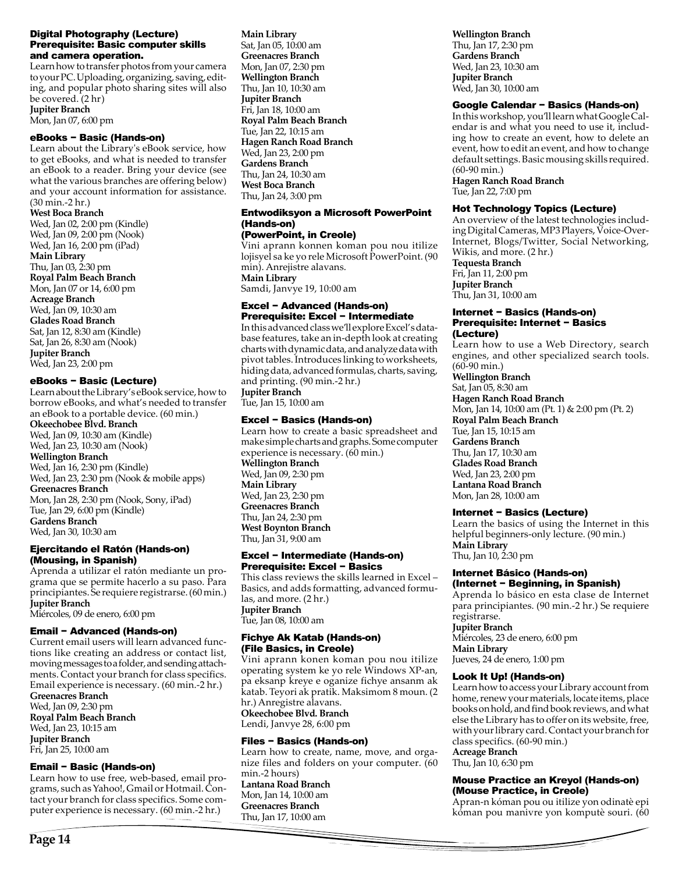### Digital Photography (Lecture) Prerequisite: Basic computer skills and camera operation.

Learn how to transfer photos from your camera to your PC. Uploading, organizing, saving, editing, and popular photo sharing sites will also be covered. (2 hr) **Jupiter Branch** 

Mon, Jan 07, 6:00 pm

### eBooks − Basic (Hands-on)

Learn about the Library's eBook service, how to get eBooks, and what is needed to transfer an eBook to a reader. Bring your device (see what the various branches are offering below) and your account information for assistance. (30 min.-2 hr.)

### **West Boca Branch**

Wed, Jan 02, 2:00 pm (Kindle) Wed, Jan 09, 2:00 pm (Nook) Wed, Jan 16, 2:00 pm (iPad) **Main Library**  Thu, Jan 03, 2:30 pm **Royal Palm Beach Branch**  Mon, Jan 07 or 14, 6:00 pm **Acreage Branch**  Wed, Jan 09, 10:30 am **Glades Road Branch**  Sat, Jan 12, 8:30 am (Kindle) Sat, Jan 26, 8:30 am (Nook) **Jupiter Branch**  Wed, Jan 23, 2:00 pm

### eBooks − Basic (Lecture)

Learn about the Library's eBook service, how to borrow eBooks, and what's needed to transfer an eBook to a portable device. (60 min.) **Okeechobee Blvd. Branch**  Wed, Jan 09, 10:30 am (Kindle) Wed, Jan 23, 10:30 am (Nook) **Wellington Branch**  Wed, Jan 16, 2:30 pm (Kindle) Wed, Jan 23, 2:30 pm (Nook & mobile apps) **Greenacres Branch**  Mon, Jan 28, 2:30 pm (Nook, Sony, iPad) Tue, Jan 29, 6:00 pm (Kindle) **Gardens Branch**  Wed, Jan 30, 10:30 am

### Ejercitando el Ratón (Hands-on) (Mousing, in Spanish)

Aprenda a utilizar el ratón mediante un programa que se permite hacerlo a su paso. Para principiantes. Se requiere registrarse. (60 min.) **Jupiter Branch** 

Miércoles, 09 de enero, 6:00 pm

### Email − Advanced (Hands-on)

Current email users will learn advanced functions like creating an address or contact list, moving messages to a folder, and sending attachments. Contact your branch for class specifics. Email experience is necessary. (60 min.-2 hr.)

**Greenacres Branch**  Wed, Jan 09, 2:30 pm **Royal Palm Beach Branch**  Wed, Jan 23, 10:15 am **Jupiter Branch**  Fri, Jan 25, 10:00 am

### Email − Basic (Hands-on)

Learn how to use free, web-based, email programs, such as Yahoo!, Gmail or Hotmail. Contact your branch for class specifics. Some computer experience is necessary. (60 min.-2 hr.)

**Main Library**  Sat, Jan 05, 10:00 am **Greenacres Branch**  Mon, Jan 07, 2:30 pm **Wellington Branch**  Thu, Jan 10, 10:30 am **Jupiter Branch**  Fri, Jan 18, 10:00 am **Royal Palm Beach Branch**  Tue, Jan 22, 10:15 am **Hagen Ranch Road Branch**  Wed, Jan 23, 2:00 pm **Gardens Branch**  Thu, Jan 24, 10:30 am **West Boca Branch**  Thu, Jan 24, 3:00 pm

### Entwodiksyon a Microsoft PowerPoint (Hands-on)

(PowerPoint, in Creole) Vini aprann konnen koman pou nou itilize lojisyel sa ke yo rele Microsoft PowerPoint. (90 min). Anrejistre alavans.

**Main Library**  Samdi, Janvye 19, 10:00 am

### Excel − Advanced (Hands-on) Prerequisite: Excel − Intermediate

In this advanced class we'll explore Excel's database features, take an in-depth look at creating charts with dynamic data, and analyze data with pivot tables. Introduces linking to worksheets, hiding data, advanced formulas, charts, saving, and printing. (90 min.-2 hr.) **Jupiter Branch** 

Tue, Jan 15, 10:00 am

### Excel − Basics (Hands-on)

Learn how to create a basic spreadsheet and make simple charts and graphs. Some computer experience is necessary. (60 min.) **Wellington Branch**  Wed, Jan 09, 2:30 pm **Main Library**  Wed, Jan 23, 2:30 pm **Greenacres Branch**  Thu, Jan 24, 2:30 pm **West Boynton Branch**  Thu, Jan 31, 9:00 am

### Excel − Intermediate (Hands-on) Prerequisite: Excel − Basics

This class reviews the skills learned in Excel – Basics, and adds formatting, advanced formulas, and more. (2 hr.) **Jupiter Branch**  Tue, Jan 08, 10:00 am

### Fichye Ak Katab (Hands-on) (File Basics, in Creole)

Vini aprann konen koman pou nou itilize operating system ke yo rele Windows XP-an, pa eksanp kreye e oganize fichye ansanm ak katab. Teyori ak pratik. Maksimom 8 moun. (2 hr.) Anregistre alavans. **Okeechobee Blvd. Branch** 

Lendi, Janvye 28, 6:00 pm

### Files − Basics (Hands-on)

Learn how to create, name, move, and organize files and folders on your computer. (60 min.-2 hours) **Lantana Road Branch**  Mon, Jan 14, 10:00 am **Greenacres Branch**  Thu, Jan 17, 10:00 am

**Wellington Branch** 

Thu, Jan 17, 2:30 pm **Gardens Branch**  Wed, Jan 23, 10:30 am **Jupiter Branch**  Wed, Jan 30, 10:00 am

### Google Calendar − Basics (Hands-on)

In this workshop, you'll learn what Google Calendar is and what you need to use it, including how to create an event, how to delete an event, how to edit an event, and how to change default settings. Basic mousing skills required. (60-90 min.) **Hagen Ranch Road Branch** 

Tue, Jan 22, 7:00 pm

### Hot Technology Topics (Lecture)

An overview of the latest technologies including Digital Cameras, MP3 Players, Voice-Over-Internet, Blogs/Twitter, Social Networking, Wikis, and more. (2 hr.) **Tequesta Branch**  Fri, Jan 11, 2:00 pm **Jupiter Branch**  Thu, Jan 31, 10:00 am

### Internet − Basics (Hands-on) Prerequisite: Internet − Basics (Lecture)

Learn how to use a Web Directory, search engines, and other specialized search tools. (60-90 min.)

**Wellington Branch**  Sat, Jan 05, 8:30 am **Hagen Ranch Road Branch**  Mon, Jan 14, 10:00 am (Pt. 1) & 2:00 pm (Pt. 2) **Royal Palm Beach Branch**  Tue, Jan 15, 10:15 am **Gardens Branch**  Thu, Jan 17, 10:30 am **Glades Road Branch**  Wed, Jan 23, 2:00 pm **Lantana Road Branch**  Mon, Jan 28, 10:00 am

### Internet − Basics (Lecture)

Learn the basics of using the Internet in this helpful beginners-only lecture. (90 min.) **Main Library**  Thu, Jan 10, 2:30 pm

### Internet Básico (Hands-on) (Internet − Beginning, in Spanish)

Aprenda lo básico en esta clase de Internet para principiantes. (90 min.-2 hr.) Se requiere registrarse.

### **Jupiter Branch**

Miércoles, 23 de enero, 6:00 pm **Main Library**  Jueves, 24 de enero, 1:00 pm

### Look It Up! (Hands-on)

Learn how to access your Library account from home, renew your materials, locate items, place books on hold, and find book reviews, and what else the Library has to offer on its website, free, with your library card. Contact your branch for class specifics. (60-90 min.)

**Acreage Branch** 

Thu, Jan 10, 6:30 pm

### Mouse Practice an Kreyol (Hands-on) (Mouse Practice, in Creole)

Apran-n kóman pou ou itilize yon odinatè epi kóman pou manivre yon komputè souri. (60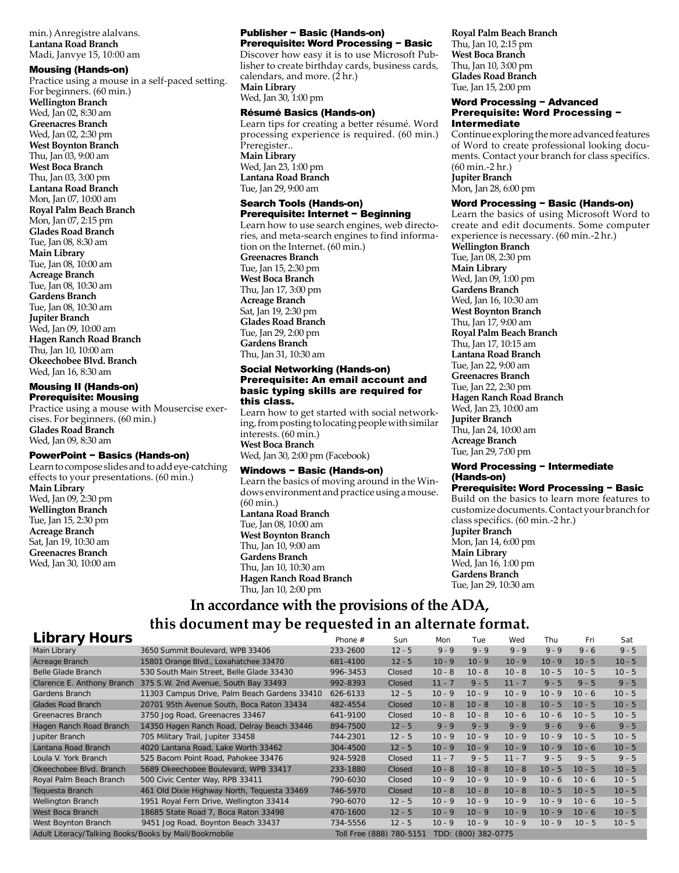min.) Anregistre alalvans. **Lantana Road Branch**  Madi, Janvye 15, 10:00 am

Mousing (Hands-on) Practice using a mouse in a self-paced setting. For beginners. (60 min.) **Wellington Branch**  Wed, Jan 02, 8:30 am **Greenacres Branch**  Wed, Jan 02, 2:30 pm **West Boynton Branch**  Thu, Jan 03, 9:00 am **West Boca Branch**  Thu, Jan 03, 3:00 pm **Lantana Road Branch**  Mon, Jan 07, 10:00 am **Royal Palm Beach Branch**  Mon, Jan 07, 2:15 pm **Glades Road Branch**  Tue, Jan 08, 8:30 am **Main Library**  Tue, Jan 08, 10:00 am **Acreage Branch**  Tue, Jan 08, 10:30 am **Gardens Branch**  Tue, Jan 08, 10:30 am **Jupiter Branch**  Wed, Jan 09, 10:00 am **Hagen Ranch Road Branch**  Thu, Jan 10, 10:00 am **Okeechobee Blvd. Branch**  Wed, Jan 16, 8:30 am

### Mousing II (Hands-on) Prerequisite: Mousing

Practice using a mouse with Mousercise exercises. For beginners. (60 min.) **Glades Road Branch**  Wed, Jan 09, 8:30 am

### PowerPoint − Basics (Hands-on)

Learn to compose slides and to add eye-catching effects to your presentations. (60 min.) **Main Library**  Wed, Jan 09, 2:30 pm **Wellington Branch**  Tue, Jan 15, 2:30 pm **Acreage Branch**  Sat, Jan 19, 10:30 am **Greenacres Branch**  Wed, Jan 30, 10:00 am

### Publisher − Basic (Hands-on) Prerequisite: Word Processing − Basic

Discover how easy it is to use Microsoft Publisher to create birthday cards, business cards, calendars, and more.  $(2 \text{ hr.})$ **Main Library**  Wed, Jan 30, 1:00 pm

### Résumé Basics (Hands-on)

Learn tips for creating a better résumé. Word processing experience is required. (60 min.) Preregister.. **Main Library**  Wed, Jan 23, 1:00 pm **Lantana Road Branch**  Tue, Jan 29, 9:00 am

### Search Tools (Hands-on) Prerequisite: Internet − Beginning

Learn how to use search engines, web directories, and meta-search engines to find information on the Internet. (60 min.) **Greenacres Branch**  Tue, Jan 15, 2:30 pm **West Boca Branch**  Thu, Jan 17, 3:00 pm **Acreage Branch**  Sat, Jan 19, 2:30 pm **Glades Road Branch**  Tue, Jan 29, 2:00 pm **Gardens Branch**  Thu, Jan 31, 10:30 am

### Social Networking (Hands-on) Prerequisite: An email account and basic typing skills are required for this class.

Learn how to get started with social networking, from posting to locating people with similar interests. (60 min.) **West Boca Branch**  Wed, Jan 30, 2:00 pm (Facebook)

### Windows − Basic (Hands-on)

Learn the basics of moving around in the Windows environment and practice using a mouse. (60 min.) **Lantana Road Branch**  Tue, Jan 08, 10:00 am

**West Boynton Branch**  Thu, Jan 10, 9:00 am **Gardens Branch**  Thu, Jan 10, 10:30 am **Hagen Ranch Road Branch**  Thu, Jan 10, 2:00 pm

### **Royal Palm Beach Branch**  Thu, Jan 10, 2:15 pm **West Boca Branch**  Thu, Jan 10, 3:00 pm

**Glades Road Branch**  Tue, Jan 15, 2:00 pm

### Word Processing - Advanced Prerequisite: Word Processing − Intermediate

Continue exploring the more advanced features of Word to create professional looking documents. Contact your branch for class specifics. (60 min.-2 hr.) **Jupiter Branch**  Mon, Jan 28, 6:00 pm

### Word Processing - Basic (Hands-on)

Learn the basics of using Microsoft Word to create and edit documents. Some computer experience is necessary. (60 min.-2 hr.)

**Wellington Branch**  Tue, Jan 08, 2:30 pm **Main Library**  Wed, Jan 09, 1:00 pm **Gardens Branch**  Wed, Jan 16, 10:30 am **West Boynton Branch**  Thu, Jan 17, 9:00 am **Royal Palm Beach Branch**  Thu, Jan 17, 10:15 am **Lantana Road Branch**  Tue, Jan 22, 9:00 am **Greenacres Branch**  Tue, Jan 22, 2:30 pm **Hagen Ranch Road Branch**  Wed, Jan 23, 10:00 am **Jupiter Branch**  Thu, Jan 24, 10:00 am **Acreage Branch**  Tue, Jan 29, 7:00 pm

### Word Processing - Intermediate (Hands-on)

### Prerequisite: Word Processing − Basic

Build on the basics to learn more features to customize documents. Contact your branch for class specifics. (60 min.-2 hr.) **Jupiter Branch**  Mon, Jan 14, 6:00 pm **Main Library** 

Wed, Jan 16, 1:00 pm **Gardens Branch**  Tue, Jan 29, 10:30 am

# **In accordance with the provisions of the ADA, this document may be requested in an alternate format.**

| Library Hours                                         |                                              | Phone $#$ | Sun                      | Mon                 | Tue      | Wed      | Thu      | Fri      | Sat      |
|-------------------------------------------------------|----------------------------------------------|-----------|--------------------------|---------------------|----------|----------|----------|----------|----------|
| Main Library                                          | 3650 Summit Boulevard, WPB 33406             | 233-2600  | $12 - 5$                 | $9 - 9$             | $9 - 9$  | $9 - 9$  | $9 - 9$  | $9 - 6$  | $9 - 5$  |
| Acreage Branch                                        | 15801 Orange Blvd., Loxahatchee 33470        | 681-4100  | $12 - 5$                 | $10 - 9$            | $10 - 9$ | $10 - 9$ | $10 - 9$ | $10 - 5$ | $10 - 5$ |
| Belle Glade Branch                                    | 530 South Main Street, Belle Glade 33430     | 996-3453  | Closed                   | $10 - 8$            | $10 - 8$ | $10 - 8$ | $10 - 5$ | $10 - 5$ | $10 - 5$ |
| Clarence E. Anthony Branch                            | 375 S.W. 2nd Avenue, South Bay 33493         | 992-8393  | Closed                   | $11 - 7$            | $9 - 5$  | $11 - 7$ | $9 - 5$  | $9 - 5$  | $9 - 5$  |
| Gardens Branch                                        | 11303 Campus Drive, Palm Beach Gardens 33410 | 626-6133  | $12 - 5$                 | $10 - 9$            | $10 - 9$ | $10 - 9$ | $10 - 9$ | $10 - 6$ | $10 - 5$ |
| <b>Glades Road Branch</b>                             | 20701 95th Avenue South, Boca Raton 33434    | 482-4554  | Closed                   | $10 - 8$            | $10 - 8$ | $10 - 8$ | $10 - 5$ | $10 - 5$ | $10 - 5$ |
| <b>Greenacres Branch</b>                              | 3750 Jog Road, Greenacres 33467              | 641-9100  | Closed                   | $10 - 8$            | $10 - 8$ | $10 - 6$ | $10 - 6$ | $10 - 5$ | $10 - 5$ |
| Hagen Ranch Road Branch                               | 14350 Hagen Ranch Road, Delray Beach 33446   | 894-7500  | $12 - 5$                 | $9 - 9$             | $9 - 9$  | $9 - 9$  | $9 - 6$  | $9 - 6$  | $9 - 5$  |
| Jupiter Branch                                        | 705 Military Trail, Jupiter 33458            | 744-2301  | $12 - 5$                 | $10 - 9$            | $10 - 9$ | $10 - 9$ | $10 - 9$ | $10 - 5$ | $10 - 5$ |
| Lantana Road Branch                                   | 4020 Lantana Road, Lake Worth 33462          | 304-4500  | $12 - 5$                 | $10 - 9$            | $10 - 9$ | $10 - 9$ | $10 - 9$ | $10 - 6$ | $10 - 5$ |
| Loula V. York Branch                                  | 525 Bacom Point Road, Pahokee 33476          | 924-5928  | Closed                   | $11 - 7$            | $9 - 5$  | $11 - 7$ | $9 - 5$  | $9 - 5$  | $9 - 5$  |
| Okeechobee Blvd. Branch                               | 5689 Okeechobee Boulevard, WPB 33417         | 233-1880  | Closed                   | $10 - 8$            | $10 - 8$ | $10 - 8$ | $10 - 5$ | $10 - 5$ | $10 - 5$ |
| Royal Palm Beach Branch                               | 500 Civic Center Way, RPB 33411              | 790-6030  | Closed                   | $10 - 9$            | $10 - 9$ | $10 - 9$ | $10 - 6$ | $10 - 6$ | $10 - 5$ |
| Tequesta Branch                                       | 461 Old Dixie Highway North, Tequesta 33469  | 746-5970  | Closed                   | $10 - 8$            | $10 - 8$ | $10 - 8$ | $10 - 5$ | $10 - 5$ | $10 - 5$ |
| <b>Wellington Branch</b>                              | 1951 Royal Fern Drive, Wellington 33414      | 790-6070  | $12 - 5$                 | $10 - 9$            | $10 - 9$ | $10 - 9$ | $10 - 9$ | $10 - 6$ | $10 - 5$ |
| West Boca Branch                                      | 18685 State Road 7, Boca Raton 33498         | 470-1600  | $12 - 5$                 | $10 - 9$            | $10 - 9$ | $10 - 9$ | $10 - 9$ | $10 - 6$ | $10 - 5$ |
| West Boynton Branch                                   | 9451 Jog Road, Boynton Beach 33437           | 734-5556  | $12 - 5$                 | $10 - 9$            | $10 - 9$ | $10 - 9$ | $10 - 9$ | $10 - 5$ | $10 - 5$ |
| Adult Literacy/Talking Books/Books by Mail/Bookmobile |                                              |           | Toll Free (888) 780-5151 | TDD: (800) 382-0775 |          |          |          |          |          |
|                                                       |                                              |           |                          |                     |          |          |          |          |          |